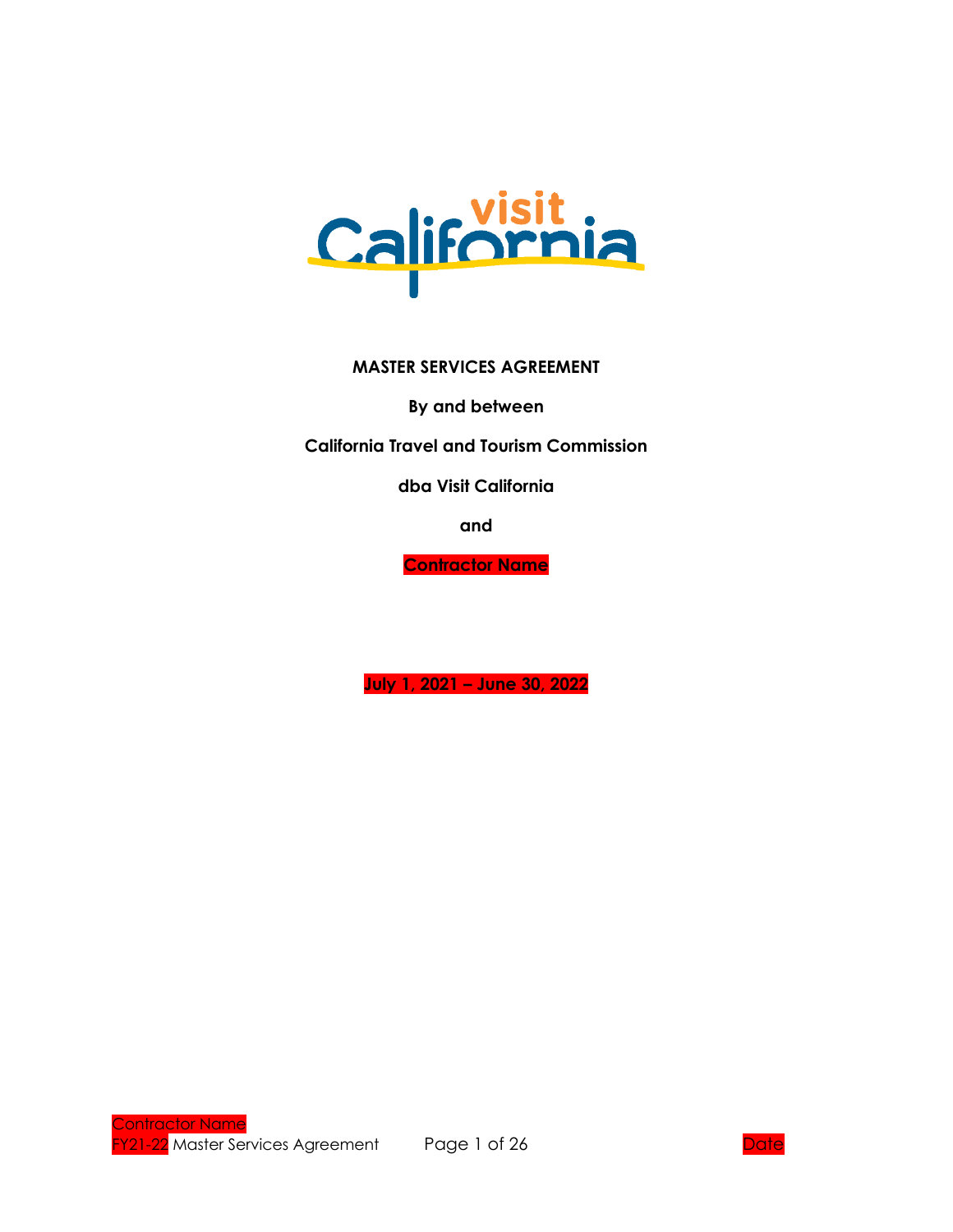

#### **MASTER SERVICES AGREEMENT**

**By and between**

**California Travel and Tourism Commission**

**dba Visit California**

**and**

**Contractor Name**

**July 1, 2021 – June 30, 2022**

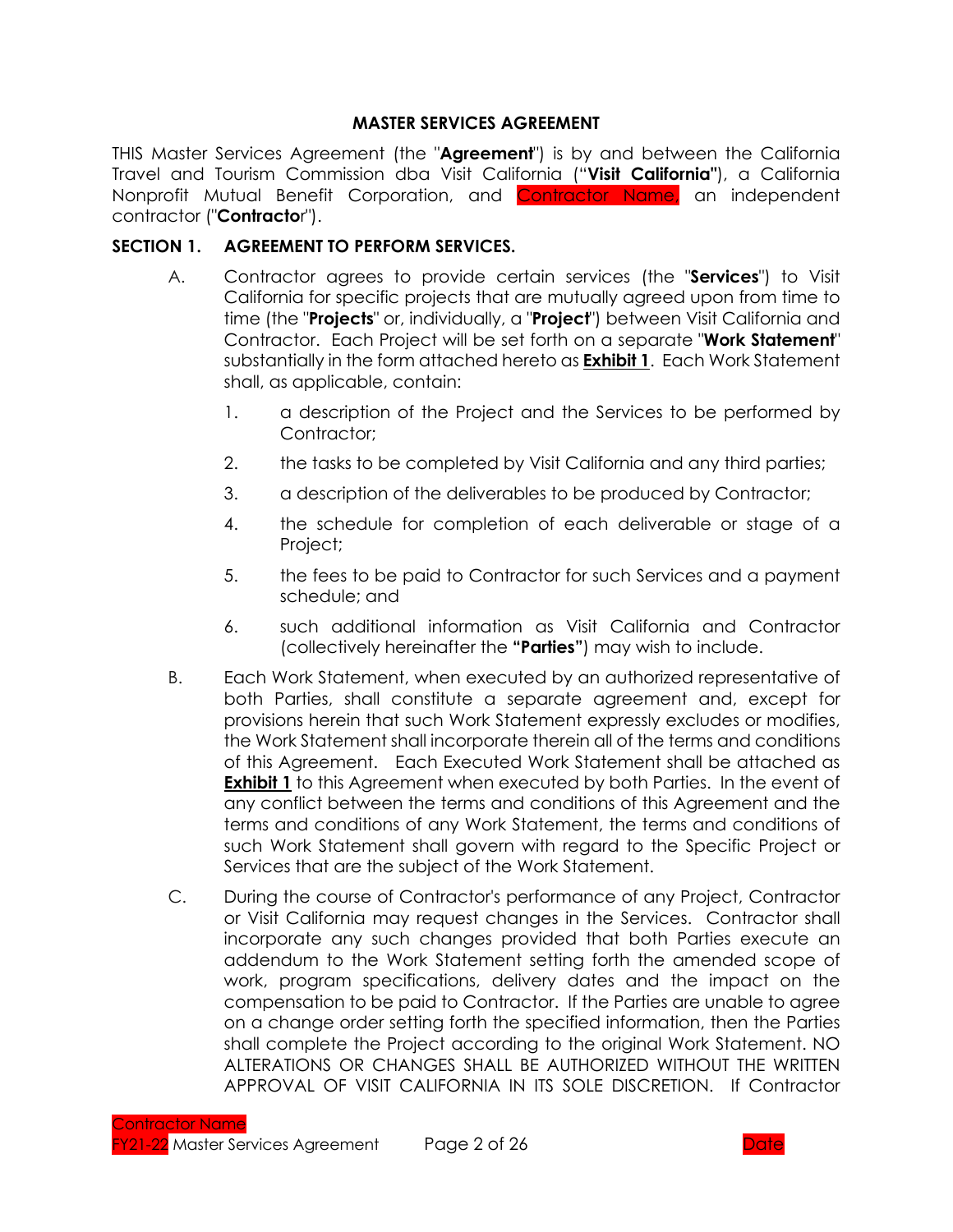### **MASTER SERVICES AGREEMENT**

THIS Master Services Agreement (the "**Agreement**") is by and between the California Travel and Tourism Commission dba Visit California ("**Visit California"**), a California Nonprofit Mutual Benefit Corporation, and Contractor Name, an independent contractor ("**Contracto**r").

### **SECTION 1. AGREEMENT TO PERFORM SERVICES.**

- A. Contractor agrees to provide certain services (the "**Services**") to Visit California for specific projects that are mutually agreed upon from time to time (the "**Projects**" or, individually, a "**Project**") between Visit California and Contractor. Each Project will be set forth on a separate "**Work Statement**" substantially in the form attached hereto as **Exhibit 1**. Each Work Statement shall, as applicable, contain:
	- 1. a description of the Project and the Services to be performed by Contractor;
	- 2. the tasks to be completed by Visit California and any third parties;
	- 3. a description of the deliverables to be produced by Contractor;
	- 4. the schedule for completion of each deliverable or stage of a Project;
	- 5. the fees to be paid to Contractor for such Services and a payment schedule; and
	- 6. such additional information as Visit California and Contractor (collectively hereinafter the **"Parties"**) may wish to include.
- B. Each Work Statement, when executed by an authorized representative of both Parties, shall constitute a separate agreement and, except for provisions herein that such Work Statement expressly excludes or modifies, the Work Statement shall incorporate therein all of the terms and conditions of this Agreement. Each Executed Work Statement shall be attached as **Exhibit 1** to this Agreement when executed by both Parties. In the event of any conflict between the terms and conditions of this Agreement and the terms and conditions of any Work Statement, the terms and conditions of such Work Statement shall govern with regard to the Specific Project or Services that are the subject of the Work Statement.
- C. During the course of Contractor's performance of any Project, Contractor or Visit California may request changes in the Services. Contractor shall incorporate any such changes provided that both Parties execute an addendum to the Work Statement setting forth the amended scope of work, program specifications, delivery dates and the impact on the compensation to be paid to Contractor. If the Parties are unable to agree on a change order setting forth the specified information, then the Parties shall complete the Project according to the original Work Statement. NO ALTERATIONS OR CHANGES SHALL BE AUTHORIZED WITHOUT THE WRITTEN APPROVAL OF VISIT CALIFORNIA IN ITS SOLE DISCRETION. If Contractor

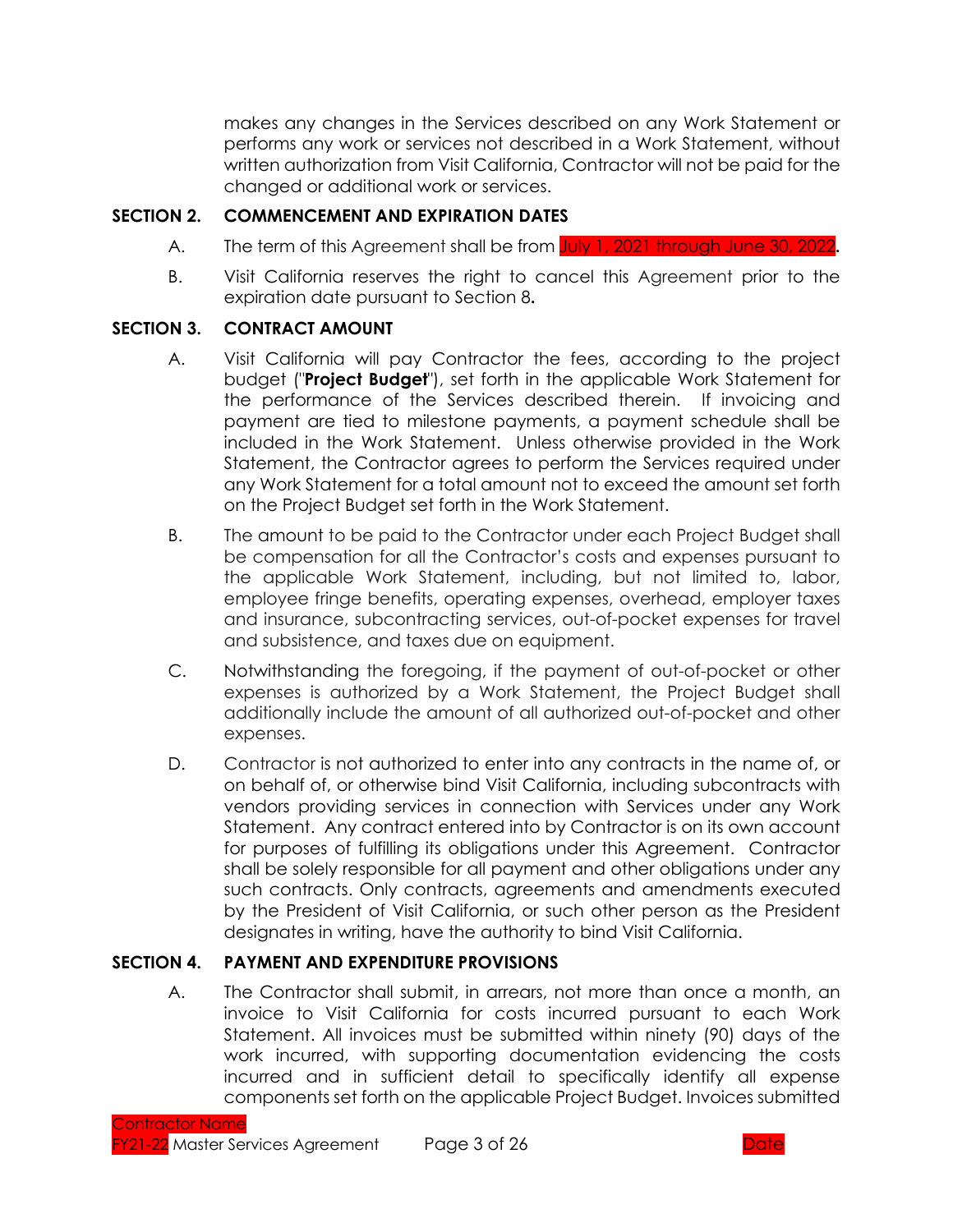makes any changes in the Services described on any Work Statement or performs any work or services not described in a Work Statement, without written authorization from Visit California, Contractor will not be paid for the changed or additional work or services.

### **SECTION 2. COMMENCEMENT AND EXPIRATION DATES**

- A. The term of this Agreement shall be from July 1, 2021 through June 30, 2022**.**
- B. Visit California reserves the right to cancel this Agreement prior to the expiration date pursuant to Section 8**.**

### **SECTION 3. CONTRACT AMOUNT**

- A. Visit California will pay Contractor the fees, according to the project budget ("**Project Budget**"), set forth in the applicable Work Statement for the performance of the Services described therein. If invoicing and payment are tied to milestone payments, a payment schedule shall be included in the Work Statement. Unless otherwise provided in the Work Statement, the Contractor agrees to perform the Services required under any Work Statement for a total amount not to exceed the amount set forth on the Project Budget set forth in the Work Statement.
- B. The amount to be paid to the Contractor under each Project Budget shall be compensation for all the Contractor's costs and expenses pursuant to the applicable Work Statement, including, but not limited to, labor, employee fringe benefits, operating expenses, overhead, employer taxes and insurance, subcontracting services, out-of-pocket expenses for travel and subsistence, and taxes due on equipment.
- C. Notwithstanding the foregoing, if the payment of out-of-pocket or other expenses is authorized by a Work Statement, the Project Budget shall additionally include the amount of all authorized out-of-pocket and other expenses.
- D. Contractor is not authorized to enter into any contracts in the name of, or on behalf of, or otherwise bind Visit California, including subcontracts with vendors providing services in connection with Services under any Work Statement. Any contract entered into by Contractor is on its own account for purposes of fulfilling its obligations under this Agreement. Contractor shall be solely responsible for all payment and other obligations under any such contracts. Only contracts, agreements and amendments executed by the President of Visit California, or such other person as the President designates in writing, have the authority to bind Visit California.

## **SECTION 4. PAYMENT AND EXPENDITURE PROVISIONS**

A. The Contractor shall submit, in arrears, not more than once a month, an invoice to Visit California for costs incurred pursuant to each Work Statement. All invoices must be submitted within ninety (90) days of the work incurred, with supporting documentation evidencing the costs incurred and in sufficient detail to specifically identify all expense components set forth on the applicable Project Budget. Invoices submitted

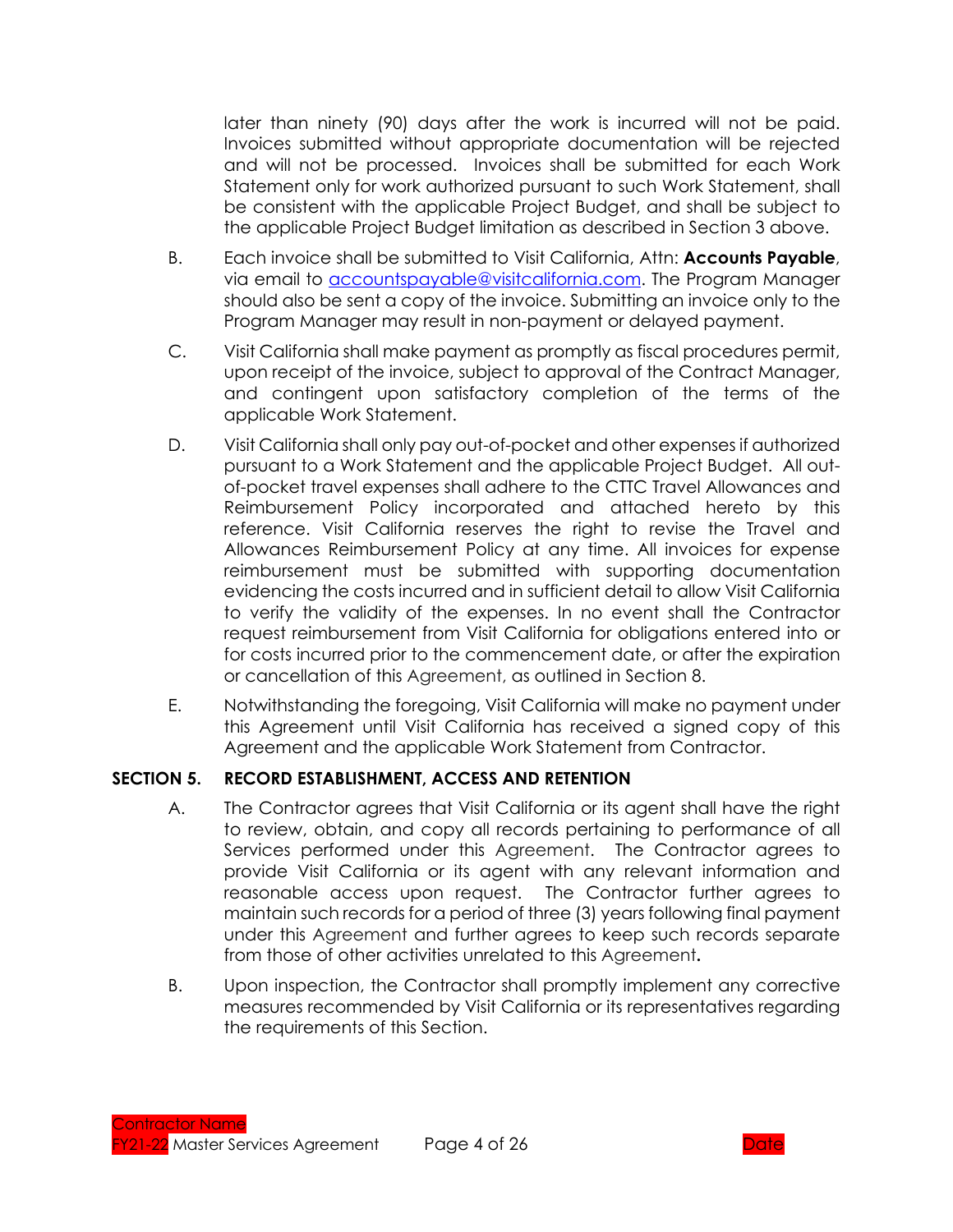later than ninety (90) days after the work is incurred will not be paid. Invoices submitted without appropriate documentation will be rejected and will not be processed. Invoices shall be submitted for each Work Statement only for work authorized pursuant to such Work Statement, shall be consistent with the applicable Project Budget, and shall be subject to the applicable Project Budget limitation as described in Section 3 above.

- B. Each invoice shall be submitted to Visit California, Attn: **Accounts Payable**, via email to accountspayable@visitcalifornia.com. The Program Manager should also be sent a copy of the invoice. Submitting an invoice only to the Program Manager may result in non-payment or delayed payment.
- C. Visit California shall make payment as promptly as fiscal procedures permit, upon receipt of the invoice, subject to approval of the Contract Manager, and contingent upon satisfactory completion of the terms of the applicable Work Statement.
- D. Visit California shall only pay out-of-pocket and other expenses if authorized pursuant to a Work Statement and the applicable Project Budget. All outof-pocket travel expenses shall adhere to the CTTC Travel Allowances and Reimbursement Policy incorporated and attached hereto by this reference. Visit California reserves the right to revise the Travel and Allowances Reimbursement Policy at any time. All invoices for expense reimbursement must be submitted with supporting documentation evidencing the costs incurred and in sufficient detail to allow Visit California to verify the validity of the expenses. In no event shall the Contractor request reimbursement from Visit California for obligations entered into or for costs incurred prior to the commencement date, or after the expiration or cancellation of this Agreement, as outlined in Section 8.
- E. Notwithstanding the foregoing, Visit California will make no payment under this Agreement until Visit California has received a signed copy of this Agreement and the applicable Work Statement from Contractor.

### **SECTION 5. RECORD ESTABLISHMENT, ACCESS AND RETENTION**

- A. The Contractor agrees that Visit California or its agent shall have the right to review, obtain, and copy all records pertaining to performance of all Services performed under this Agreement. The Contractor agrees to provide Visit California or its agent with any relevant information and reasonable access upon request. The Contractor further agrees to maintain such records for a period of three (3) years following final payment under this Agreement and further agrees to keep such records separate from those of other activities unrelated to this Agreement**.**
- B. Upon inspection, the Contractor shall promptly implement any corrective measures recommended by Visit California or its representatives regarding the requirements of this Section.

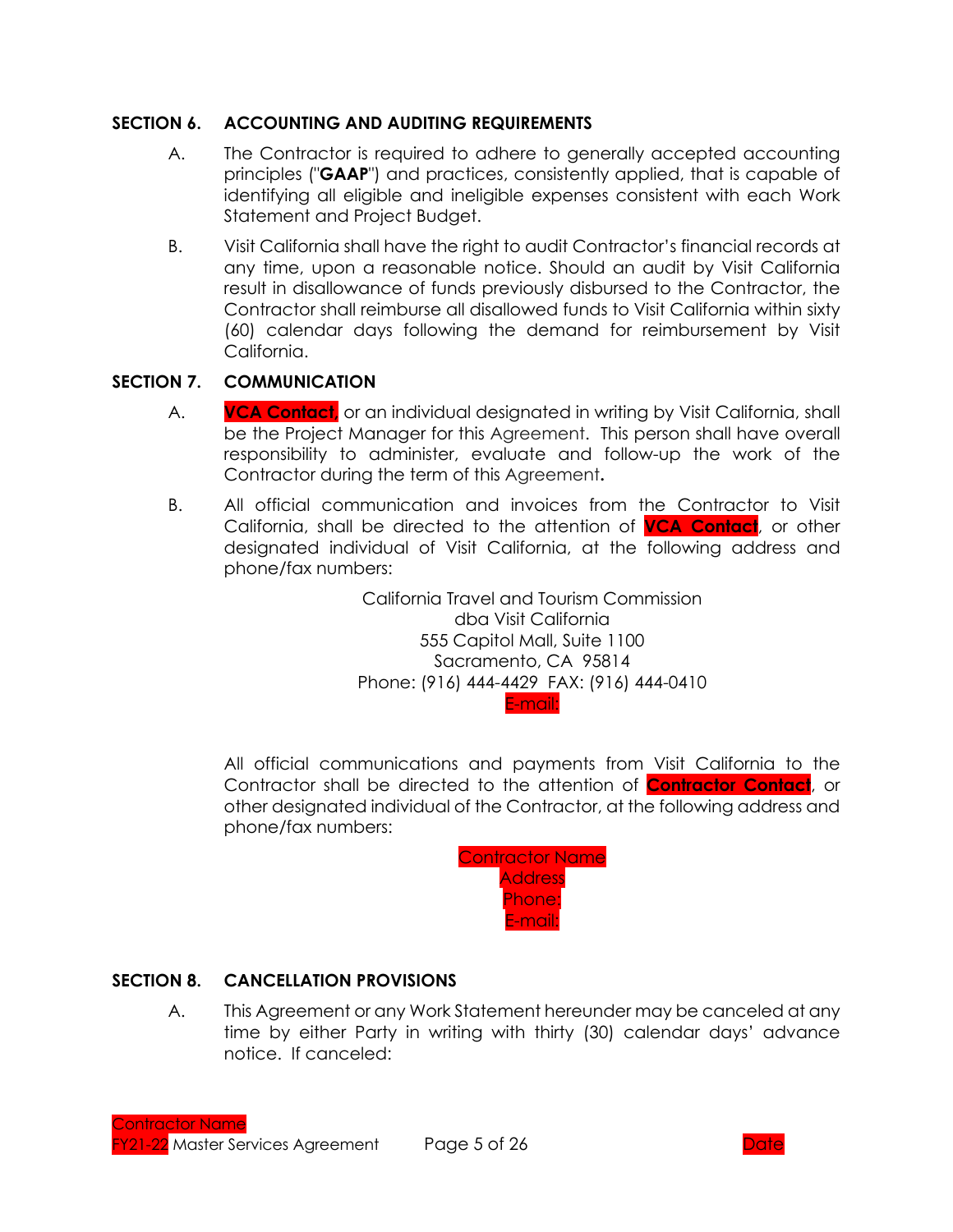### **SECTION 6. ACCOUNTING AND AUDITING REQUIREMENTS**

- A. The Contractor is required to adhere to generally accepted accounting principles ("**GAAP**") and practices, consistently applied, that is capable of identifying all eligible and ineligible expenses consistent with each Work Statement and Project Budget.
- B. Visit California shall have the right to audit Contractor's financial records at any time, upon a reasonable notice. Should an audit by Visit California result in disallowance of funds previously disbursed to the Contractor, the Contractor shall reimburse all disallowed funds to Visit California within sixty (60) calendar days following the demand for reimbursement by Visit California.

### **SECTION 7. COMMUNICATION**

- A. **VCA Contact,** or an individual designated in writing by Visit California, shall be the Project Manager for this Agreement. This person shall have overall responsibility to administer, evaluate and follow-up the work of the Contractor during the term of this Agreement**.**
- B. All official communication and invoices from the Contractor to Visit California, shall be directed to the attention of **VCA Contact**, or other designated individual of Visit California, at the following address and phone/fax numbers:

California Travel and Tourism Commission dba Visit California 555 Capitol Mall, Suite 1100 Sacramento, CA 95814 Phone: (916) 444-4429 FAX: (916) 444-0410 E-mail:

All official communications and payments from Visit California to the Contractor shall be directed to the attention of **Contractor Contact**, or other designated individual of the Contractor, at the following address and phone/fax numbers:



### **SECTION 8. CANCELLATION PROVISIONS**

A. This Agreement or any Work Statement hereunder may be canceled at any time by either Party in writing with thirty (30) calendar days' advance notice. If canceled:

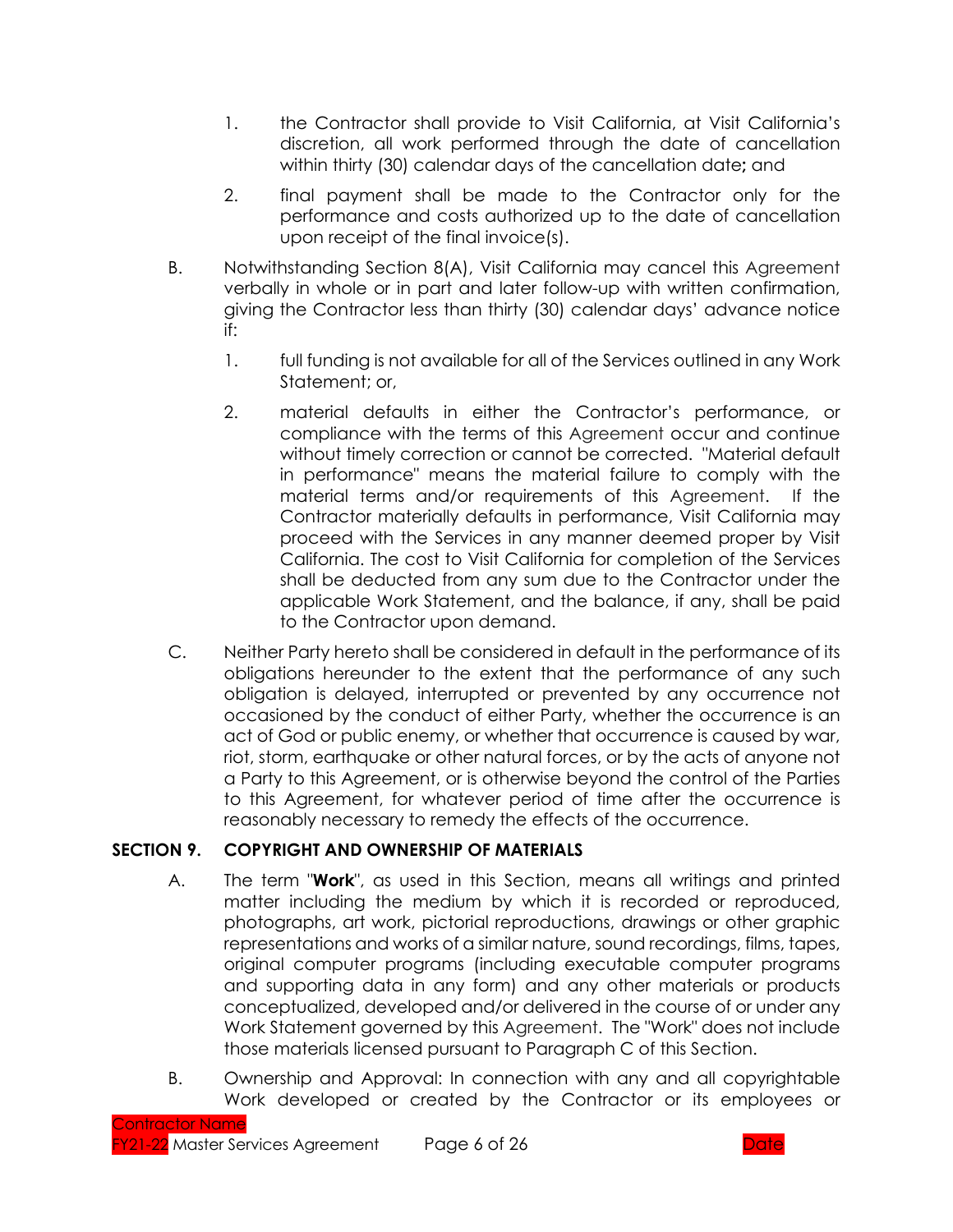- 1. the Contractor shall provide to Visit California, at Visit California's discretion, all work performed through the date of cancellation within thirty (30) calendar days of the cancellation date**;** and
- 2. final payment shall be made to the Contractor only for the performance and costs authorized up to the date of cancellation upon receipt of the final invoice(s).
- B. Notwithstanding Section 8(A), Visit California may cancel this Agreement verbally in whole or in part and later follow-up with written confirmation, giving the Contractor less than thirty (30) calendar days' advance notice if:
	- 1. full funding is not available for all of the Services outlined in any Work Statement; or,
	- 2. material defaults in either the Contractor's performance, or compliance with the terms of this Agreement occur and continue without timely correction or cannot be corrected. "Material default in performance" means the material failure to comply with the material terms and/or requirements of this Agreement. If the Contractor materially defaults in performance, Visit California may proceed with the Services in any manner deemed proper by Visit California. The cost to Visit California for completion of the Services shall be deducted from any sum due to the Contractor under the applicable Work Statement, and the balance, if any, shall be paid to the Contractor upon demand.
- C. Neither Party hereto shall be considered in default in the performance of its obligations hereunder to the extent that the performance of any such obligation is delayed, interrupted or prevented by any occurrence not occasioned by the conduct of either Party, whether the occurrence is an act of God or public enemy, or whether that occurrence is caused by war, riot, storm, earthquake or other natural forces, or by the acts of anyone not a Party to this Agreement, or is otherwise beyond the control of the Parties to this Agreement, for whatever period of time after the occurrence is reasonably necessary to remedy the effects of the occurrence.

## **SECTION 9. COPYRIGHT AND OWNERSHIP OF MATERIALS**

- A. The term "**Work**", as used in this Section, means all writings and printed matter including the medium by which it is recorded or reproduced, photographs, art work, pictorial reproductions, drawings or other graphic representations and works of a similar nature, sound recordings, films, tapes, original computer programs (including executable computer programs and supporting data in any form) and any other materials or products conceptualized, developed and/or delivered in the course of or under any Work Statement governed by this Agreement. The "Work" does not include those materials licensed pursuant to Paragraph C of this Section.
- B. Ownership and Approval: In connection with any and all copyrightable Work developed or created by the Contractor or its employees or

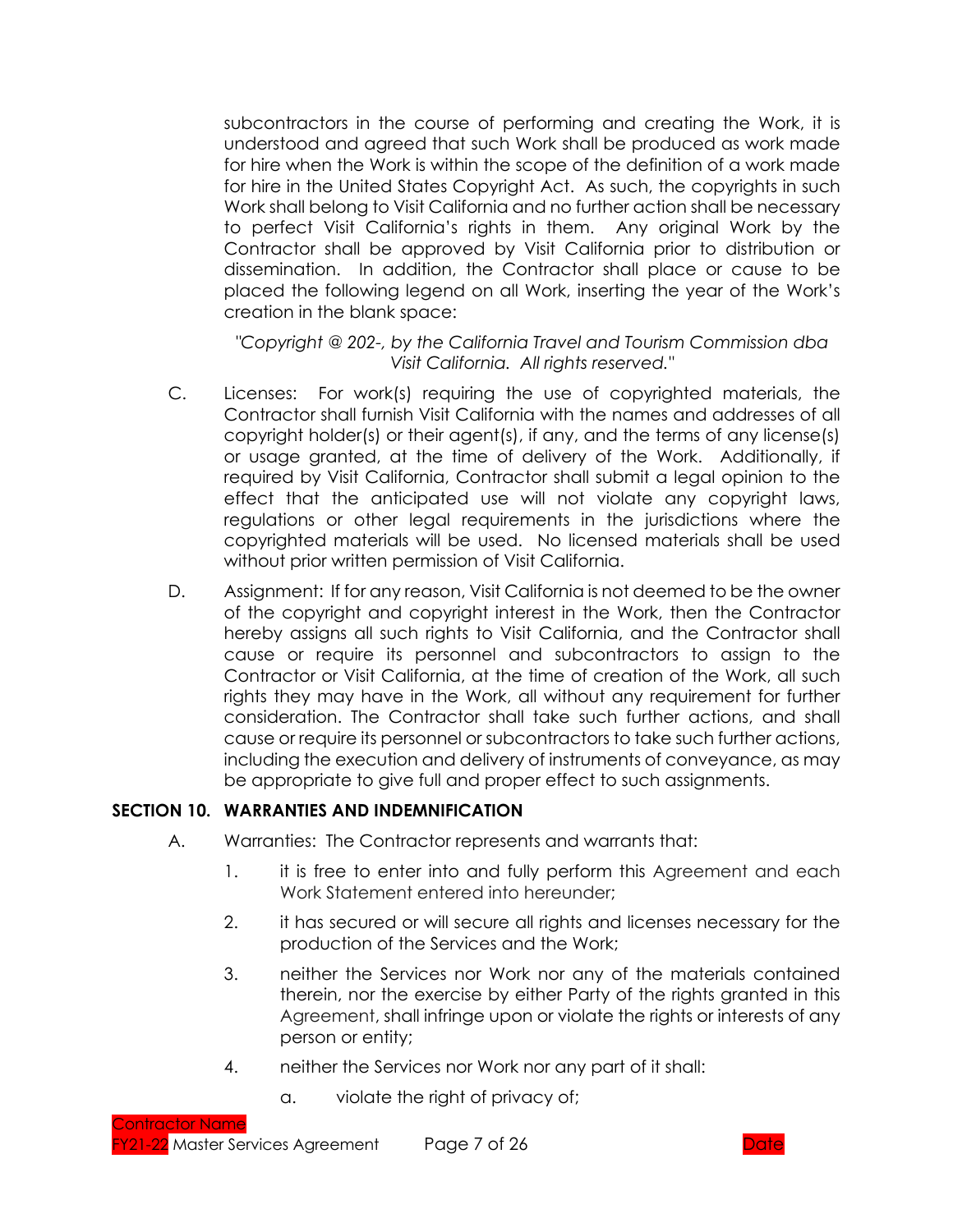subcontractors in the course of performing and creating the Work, it is understood and agreed that such Work shall be produced as work made for hire when the Work is within the scope of the definition of a work made for hire in the United States Copyright Act. As such, the copyrights in such Work shall belong to Visit California and no further action shall be necessary to perfect Visit California's rights in them. Any original Work by the Contractor shall be approved by Visit California prior to distribution or dissemination. In addition, the Contractor shall place or cause to be placed the following legend on all Work, inserting the year of the Work's creation in the blank space:

*"Copyright @ 202-, by the California Travel and Tourism Commission dba Visit California. All rights reserved."*

- C. Licenses: For work(s) requiring the use of copyrighted materials, the Contractor shall furnish Visit California with the names and addresses of all copyright holder(s) or their agent(s), if any, and the terms of any license(s) or usage granted, at the time of delivery of the Work. Additionally, if required by Visit California, Contractor shall submit a legal opinion to the effect that the anticipated use will not violate any copyright laws, regulations or other legal requirements in the jurisdictions where the copyrighted materials will be used. No licensed materials shall be used without prior written permission of Visit California.
- D. Assignment: If for any reason, Visit California is not deemed to be the owner of the copyright and copyright interest in the Work, then the Contractor hereby assigns all such rights to Visit California, and the Contractor shall cause or require its personnel and subcontractors to assign to the Contractor or Visit California, at the time of creation of the Work, all such rights they may have in the Work, all without any requirement for further consideration. The Contractor shall take such further actions, and shall cause or require its personnel or subcontractors to take such further actions, including the execution and delivery of instruments of conveyance, as may be appropriate to give full and proper effect to such assignments.

### **SECTION 10. WARRANTIES AND INDEMNIFICATION**

- A. Warranties: The Contractor represents and warrants that:
	- 1. it is free to enter into and fully perform this Agreement and each Work Statement entered into hereunder;
	- 2. it has secured or will secure all rights and licenses necessary for the production of the Services and the Work;
	- 3. neither the Services nor Work nor any of the materials contained therein, nor the exercise by either Party of the rights granted in this Agreement, shall infringe upon or violate the rights or interests of any person or entity;
	- 4. neither the Services nor Work nor any part of it shall:
		- a. violate the right of privacy of;

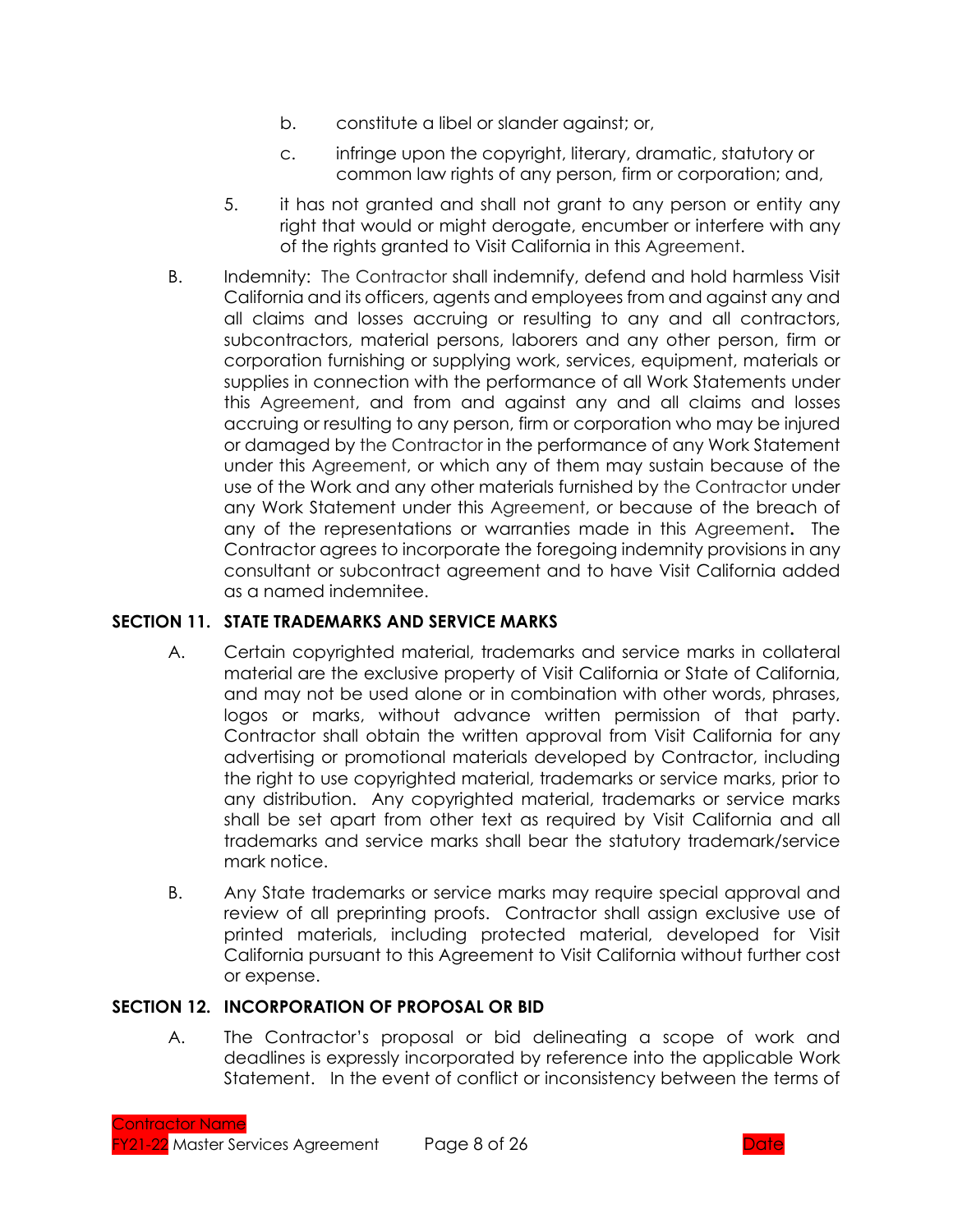- b. constitute a libel or slander against; or,
- c. infringe upon the copyright, literary, dramatic, statutory or common law rights of any person, firm or corporation; and,
- 5. it has not granted and shall not grant to any person or entity any right that would or might derogate, encumber or interfere with any of the rights granted to Visit California in this Agreement.
- B. Indemnity: The Contractor shall indemnify, defend and hold harmless Visit California and its officers, agents and employees from and against any and all claims and losses accruing or resulting to any and all contractors, subcontractors, material persons, laborers and any other person, firm or corporation furnishing or supplying work, services, equipment, materials or supplies in connection with the performance of all Work Statements under this Agreement, and from and against any and all claims and losses accruing or resulting to any person, firm or corporation who may be injured or damaged by the Contractor in the performance of any Work Statement under this Agreement, or which any of them may sustain because of the use of the Work and any other materials furnished by the Contractor under any Work Statement under this Agreement, or because of the breach of any of the representations or warranties made in this Agreement**.** The Contractor agrees to incorporate the foregoing indemnity provisions in any consultant or subcontract agreement and to have Visit California added as a named indemnitee.

### **SECTION 11. STATE TRADEMARKS AND SERVICE MARKS**

- A. Certain copyrighted material, trademarks and service marks in collateral material are the exclusive property of Visit California or State of California, and may not be used alone or in combination with other words, phrases, logos or marks, without advance written permission of that party. Contractor shall obtain the written approval from Visit California for any advertising or promotional materials developed by Contractor, including the right to use copyrighted material, trademarks or service marks, prior to any distribution. Any copyrighted material, trademarks or service marks shall be set apart from other text as required by Visit California and all trademarks and service marks shall bear the statutory trademark/service mark notice.
- B. Any State trademarks or service marks may require special approval and review of all preprinting proofs. Contractor shall assign exclusive use of printed materials, including protected material, developed for Visit California pursuant to this Agreement to Visit California without further cost or expense.

### **SECTION 12. INCORPORATION OF PROPOSAL OR BID**

A. The Contractor's proposal or bid delineating a scope of work and deadlines is expressly incorporated by reference into the applicable Work Statement. In the event of conflict or inconsistency between the terms of

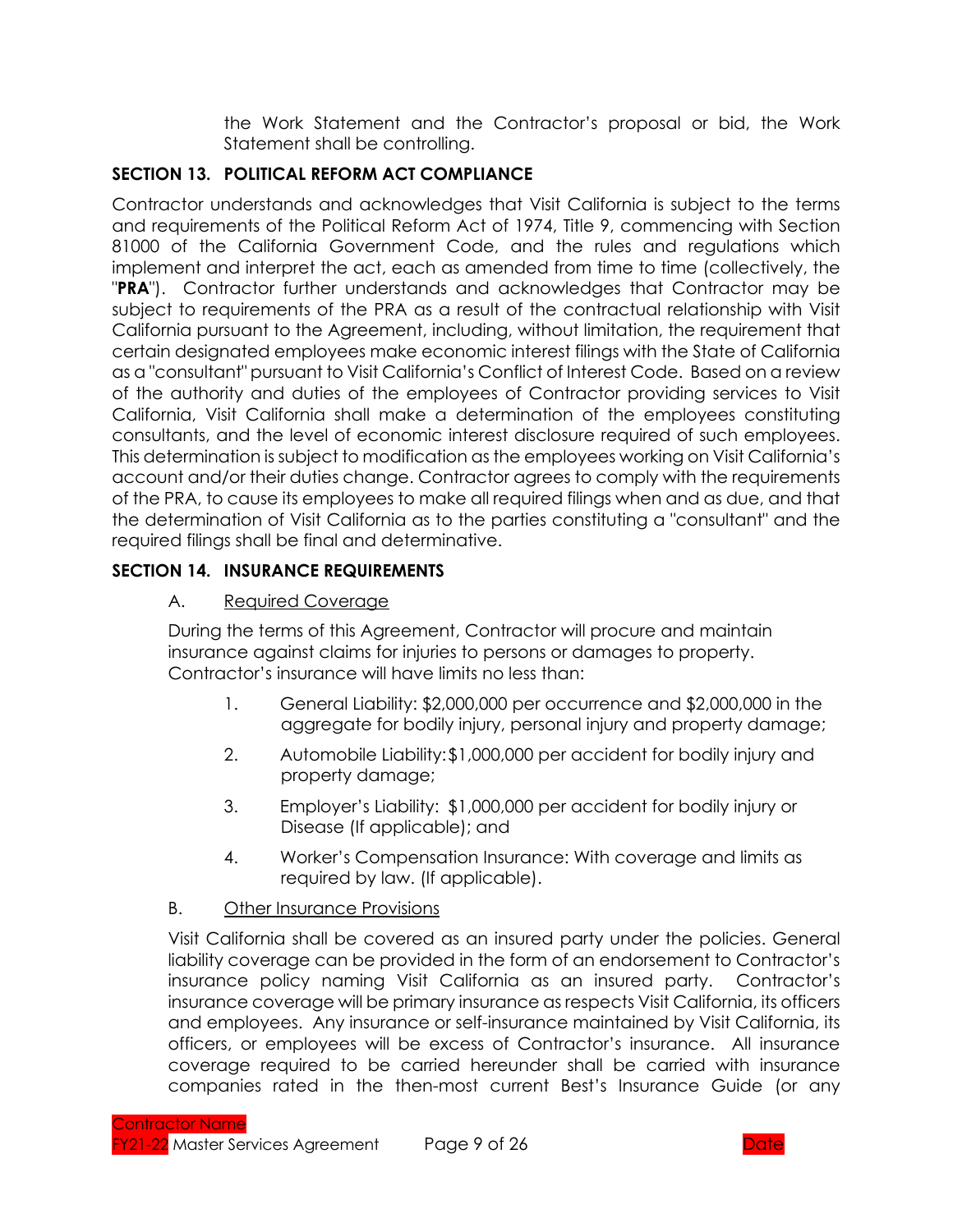the Work Statement and the Contractor's proposal or bid, the Work Statement shall be controlling.

# **SECTION 13. POLITICAL REFORM ACT COMPLIANCE**

Contractor understands and acknowledges that Visit California is subject to the terms and requirements of the Political Reform Act of 1974, Title 9, commencing with Section 81000 of the California Government Code, and the rules and regulations which implement and interpret the act, each as amended from time to time (collectively, the "**PRA**"). Contractor further understands and acknowledges that Contractor may be subject to requirements of the PRA as a result of the contractual relationship with Visit California pursuant to the Agreement, including, without limitation, the requirement that certain designated employees make economic interest filings with the State of California as a "consultant" pursuant to Visit California's Conflict of Interest Code. Based on a review of the authority and duties of the employees of Contractor providing services to Visit California, Visit California shall make a determination of the employees constituting consultants, and the level of economic interest disclosure required of such employees. This determination is subject to modification as the employees working on Visit California's account and/or their duties change. Contractor agrees to comply with the requirements of the PRA, to cause its employees to make all required filings when and as due, and that the determination of Visit California as to the parties constituting a "consultant" and the required filings shall be final and determinative.

## **SECTION 14. INSURANCE REQUIREMENTS**

# A. Required Coverage

During the terms of this Agreement, Contractor will procure and maintain insurance against claims for injuries to persons or damages to property. Contractor's insurance will have limits no less than:

- 1. General Liability: \$2,000,000 per occurrence and \$2,000,000 in the aggregate for bodily injury, personal injury and property damage;
- 2. Automobile Liability:\$1,000,000 per accident for bodily injury and property damage;
- 3. Employer's Liability: \$1,000,000 per accident for bodily injury or Disease (If applicable); and
- 4. Worker's Compensation Insurance: With coverage and limits as required by law. (If applicable).

## B. Other Insurance Provisions

Visit California shall be covered as an insured party under the policies. General liability coverage can be provided in the form of an endorsement to Contractor's insurance policy naming Visit California as an insured party. Contractor's insurance coverage will be primary insurance as respects Visit California, its officers and employees. Any insurance or self-insurance maintained by Visit California, its officers, or employees will be excess of Contractor's insurance. All insurance coverage required to be carried hereunder shall be carried with insurance companies rated in the then-most current Best's Insurance Guide (or any

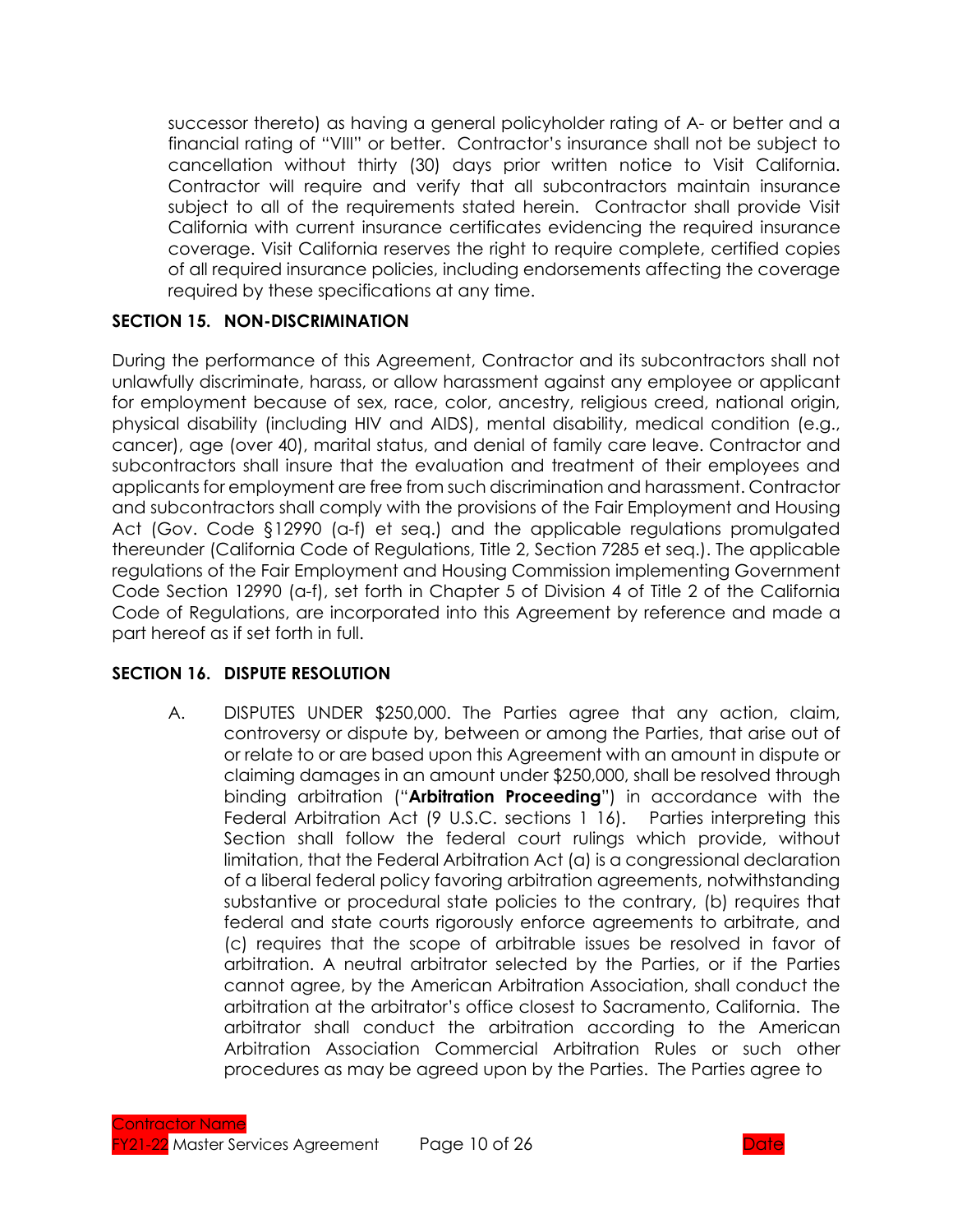successor thereto) as having a general policyholder rating of A- or better and a financial rating of "VIII" or better. Contractor's insurance shall not be subject to cancellation without thirty (30) days prior written notice to Visit California. Contractor will require and verify that all subcontractors maintain insurance subject to all of the requirements stated herein. Contractor shall provide Visit California with current insurance certificates evidencing the required insurance coverage. Visit California reserves the right to require complete, certified copies of all required insurance policies, including endorsements affecting the coverage required by these specifications at any time.

### **SECTION 15. NON-DISCRIMINATION**

During the performance of this Agreement, Contractor and its subcontractors shall not unlawfully discriminate, harass, or allow harassment against any employee or applicant for employment because of sex, race, color, ancestry, religious creed, national origin, physical disability (including HIV and AIDS), mental disability, medical condition (e.g., cancer), age (over 40), marital status, and denial of family care leave. Contractor and subcontractors shall insure that the evaluation and treatment of their employees and applicants for employment are free from such discrimination and harassment. Contractor and subcontractors shall comply with the provisions of the Fair Employment and Housing Act (Gov. Code §12990 (a-f) et seq.) and the applicable regulations promulgated thereunder (California Code of Regulations, Title 2, Section 7285 et seq.). The applicable regulations of the Fair Employment and Housing Commission implementing Government Code Section 12990 (a-f), set forth in Chapter 5 of Division 4 of Title 2 of the California Code of Regulations, are incorporated into this Agreement by reference and made a part hereof as if set forth in full.

#### **SECTION 16. DISPUTE RESOLUTION**

A. DISPUTES UNDER \$250,000. The Parties agree that any action, claim, controversy or dispute by, between or among the Parties, that arise out of or relate to or are based upon this Agreement with an amount in dispute or claiming damages in an amount under \$250,000, shall be resolved through binding arbitration ("**Arbitration Proceeding**") in accordance with the Federal Arbitration Act (9 U.S.C. sections 1 16). Parties interpreting this Section shall follow the federal court rulings which provide, without limitation, that the Federal Arbitration Act (a) is a congressional declaration of a liberal federal policy favoring arbitration agreements, notwithstanding substantive or procedural state policies to the contrary, (b) requires that federal and state courts rigorously enforce agreements to arbitrate, and (c) requires that the scope of arbitrable issues be resolved in favor of arbitration. A neutral arbitrator selected by the Parties, or if the Parties cannot agree, by the American Arbitration Association, shall conduct the arbitration at the arbitrator's office closest to Sacramento, California. The arbitrator shall conduct the arbitration according to the American Arbitration Association Commercial Arbitration Rules or such other procedures as may be agreed upon by the Parties. The Parties agree to

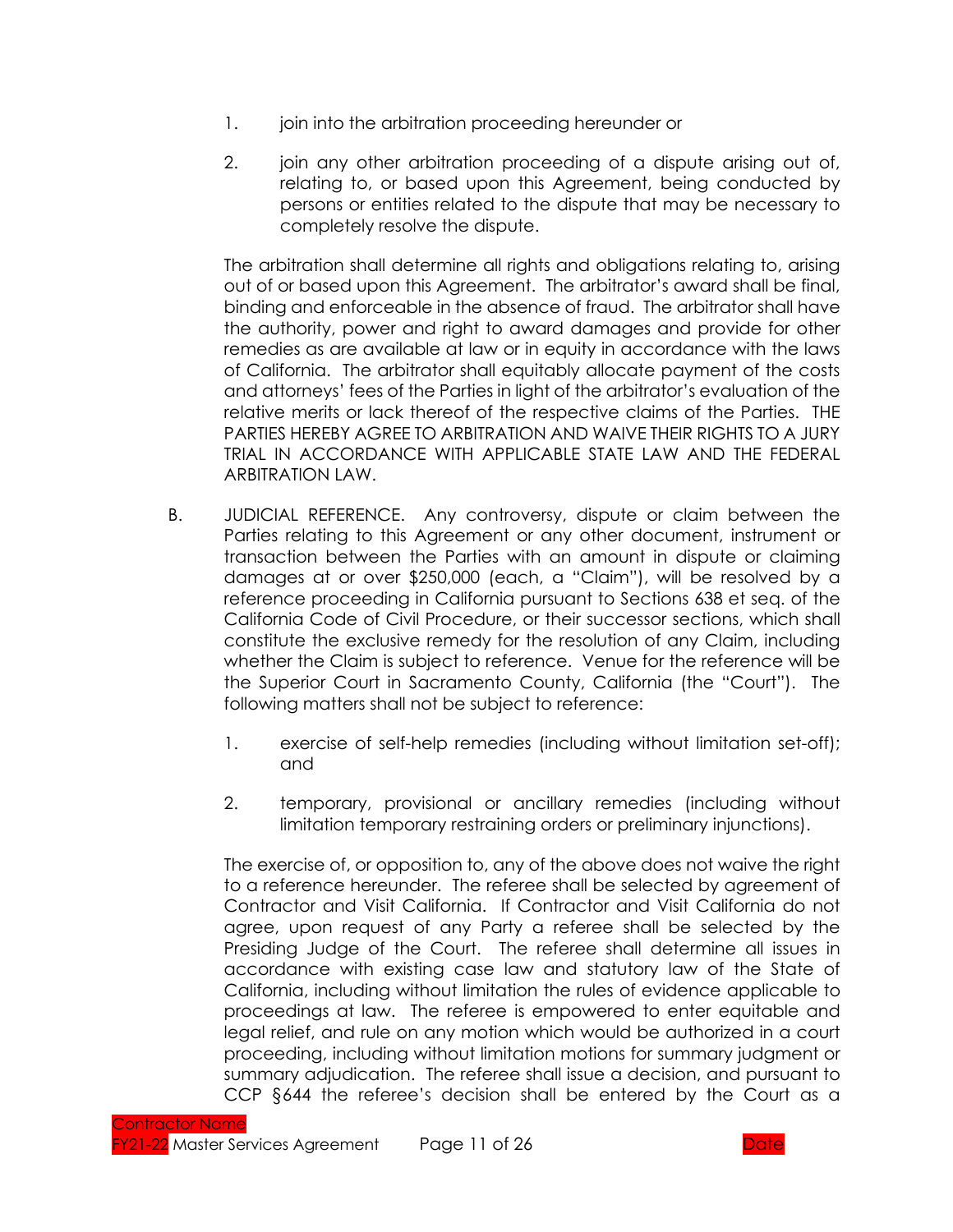- 1. join into the arbitration proceeding hereunder or
- 2. join any other arbitration proceeding of a dispute arising out of, relating to, or based upon this Agreement, being conducted by persons or entities related to the dispute that may be necessary to completely resolve the dispute.

The arbitration shall determine all rights and obligations relating to, arising out of or based upon this Agreement. The arbitrator's award shall be final, binding and enforceable in the absence of fraud. The arbitrator shall have the authority, power and right to award damages and provide for other remedies as are available at law or in equity in accordance with the laws of California. The arbitrator shall equitably allocate payment of the costs and attorneys' fees of the Parties in light of the arbitrator's evaluation of the relative merits or lack thereof of the respective claims of the Parties. THE PARTIES HEREBY AGREE TO ARBITRATION AND WAIVE THEIR RIGHTS TO A JURY TRIAL IN ACCORDANCE WITH APPLICABLE STATE LAW AND THE FEDERAL ARBITRATION LAW.

- B. JUDICIAL REFERENCE. Any controversy, dispute or claim between the Parties relating to this Agreement or any other document, instrument or transaction between the Parties with an amount in dispute or claiming damages at or over \$250,000 (each, a "Claim"), will be resolved by a reference proceeding in California pursuant to Sections 638 et seq. of the California Code of Civil Procedure, or their successor sections, which shall constitute the exclusive remedy for the resolution of any Claim, including whether the Claim is subject to reference. Venue for the reference will be the Superior Court in Sacramento County, California (the "Court"). The following matters shall not be subject to reference:
	- 1. exercise of self-help remedies (including without limitation set-off); and
	- 2. temporary, provisional or ancillary remedies (including without limitation temporary restraining orders or preliminary injunctions).

The exercise of, or opposition to, any of the above does not waive the right to a reference hereunder. The referee shall be selected by agreement of Contractor and Visit California. If Contractor and Visit California do not agree, upon request of any Party a referee shall be selected by the Presiding Judge of the Court. The referee shall determine all issues in accordance with existing case law and statutory law of the State of California, including without limitation the rules of evidence applicable to proceedings at law. The referee is empowered to enter equitable and legal relief, and rule on any motion which would be authorized in a court proceeding, including without limitation motions for summary judgment or summary adjudication. The referee shall issue a decision, and pursuant to CCP §644 the referee's decision shall be entered by the Court as a

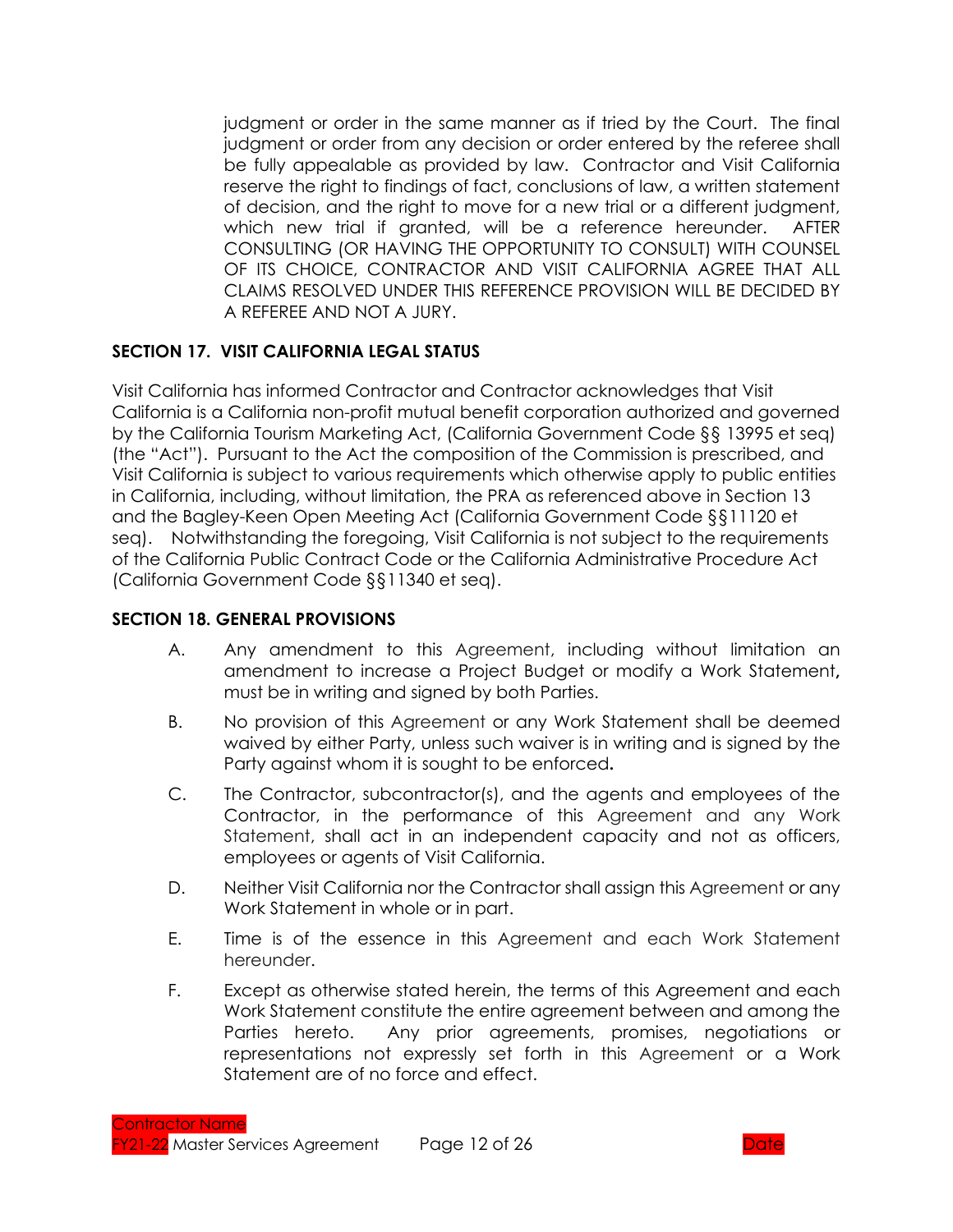judgment or order in the same manner as if tried by the Court. The final judgment or order from any decision or order entered by the referee shall be fully appealable as provided by law. Contractor and Visit California reserve the right to findings of fact, conclusions of law, a written statement of decision, and the right to move for a new trial or a different judgment, which new trial if granted, will be a reference hereunder. AFTER CONSULTING (OR HAVING THE OPPORTUNITY TO CONSULT) WITH COUNSEL OF ITS CHOICE, CONTRACTOR AND VISIT CALIFORNIA AGREE THAT ALL CLAIMS RESOLVED UNDER THIS REFERENCE PROVISION WILL BE DECIDED BY A REFEREE AND NOT A JURY.

### **SECTION 17. VISIT CALIFORNIA LEGAL STATUS**

Visit California has informed Contractor and Contractor acknowledges that Visit California is a California non-profit mutual benefit corporation authorized and governed by the California Tourism Marketing Act, (California Government Code §§ 13995 et seq) (the "Act"). Pursuant to the Act the composition of the Commission is prescribed, and Visit California is subject to various requirements which otherwise apply to public entities in California, including, without limitation, the PRA as referenced above in Section 13 and the Bagley-Keen Open Meeting Act (California Government Code §§11120 et seq). Notwithstanding the foregoing, Visit California is not subject to the requirements of the California Public Contract Code or the California Administrative Procedure Act (California Government Code §§11340 et seq).

#### **SECTION 18. GENERAL PROVISIONS**

- A. Any amendment to this Agreement, including without limitation an amendment to increase a Project Budget or modify a Work Statement**,** must be in writing and signed by both Parties.
- B. No provision of this Agreement or any Work Statement shall be deemed waived by either Party, unless such waiver is in writing and is signed by the Party against whom it is sought to be enforced**.**
- C. The Contractor, subcontractor(s), and the agents and employees of the Contractor, in the performance of this Agreement and any Work Statement, shall act in an independent capacity and not as officers, employees or agents of Visit California.
- D. Neither Visit California nor the Contractor shall assign this Agreement or any Work Statement in whole or in part.
- E. Time is of the essence in this Agreement and each Work Statement hereunder.
- F. Except as otherwise stated herein, the terms of this Agreement and each Work Statement constitute the entire agreement between and among the Parties hereto. Any prior agreements, promises, negotiations or representations not expressly set forth in this Agreement or a Work Statement are of no force and effect.

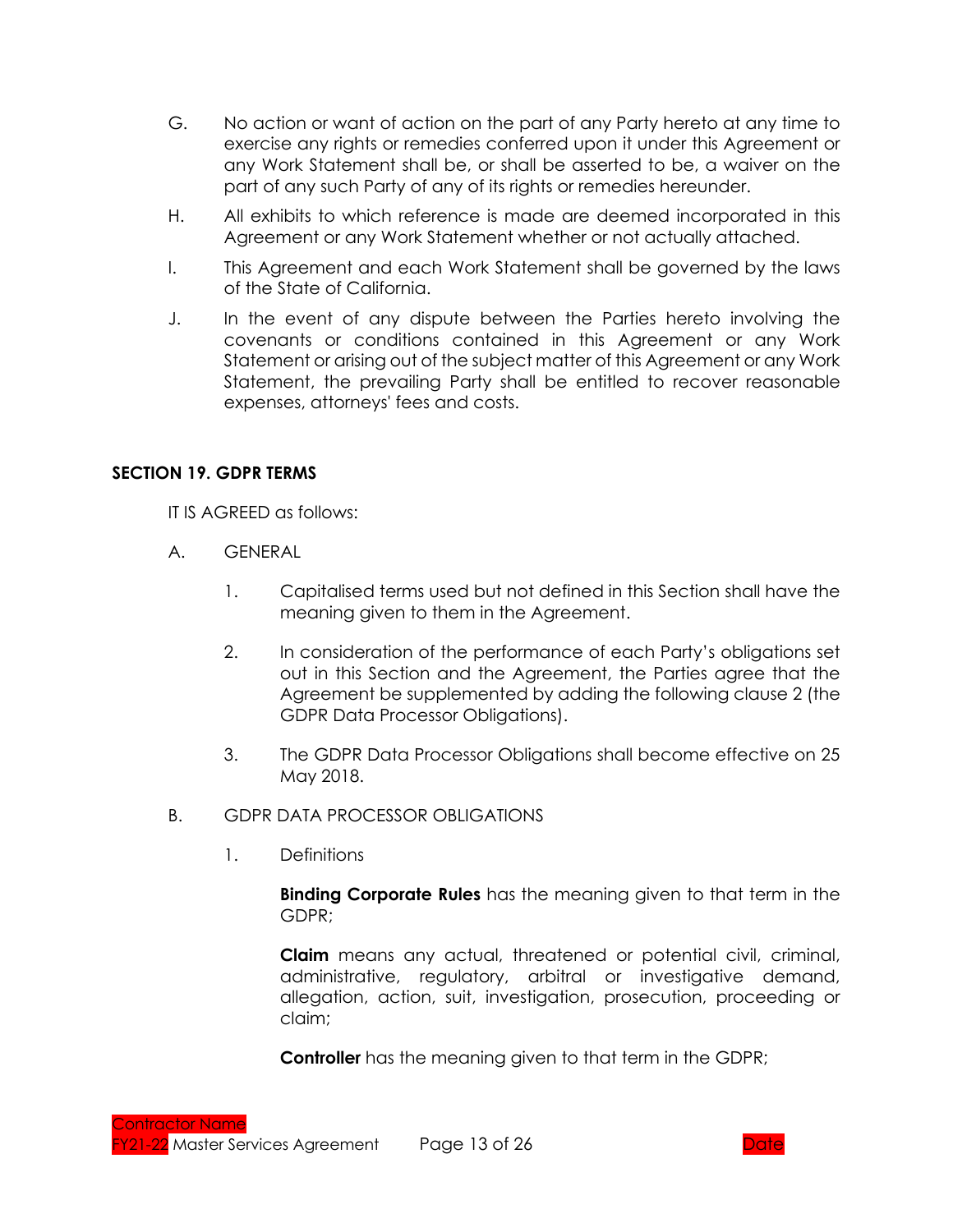- G. No action or want of action on the part of any Party hereto at any time to exercise any rights or remedies conferred upon it under this Agreement or any Work Statement shall be, or shall be asserted to be, a waiver on the part of any such Party of any of its rights or remedies hereunder.
- H. All exhibits to which reference is made are deemed incorporated in this Agreement or any Work Statement whether or not actually attached.
- I. This Agreement and each Work Statement shall be governed by the laws of the State of California.
- J. In the event of any dispute between the Parties hereto involving the covenants or conditions contained in this Agreement or any Work Statement or arising out of the subject matter of this Agreement or any Work Statement, the prevailing Party shall be entitled to recover reasonable expenses, attorneys' fees and costs.

### **SECTION 19. GDPR TERMS**

IT IS AGREED as follows:

- A. GENERAL
	- 1. Capitalised terms used but not defined in this Section shall have the meaning given to them in the Agreement.
	- 2. In consideration of the performance of each Party's obligations set out in this Section and the Agreement, the Parties agree that the Agreement be supplemented by adding the following clause 2 (the GDPR Data Processor Obligations).
	- 3. The GDPR Data Processor Obligations shall become effective on 25 May 2018.
- B. GDPR DATA PROCESSOR OBLIGATIONS
	- 1. Definitions

**Binding Corporate Rules** has the meaning given to that term in the GDPR;

**Claim** means any actual, threatened or potential civil, criminal, administrative, regulatory, arbitral or investigative demand, allegation, action, suit, investigation, prosecution, proceeding or claim;

**Controller** has the meaning given to that term in the GDPR;

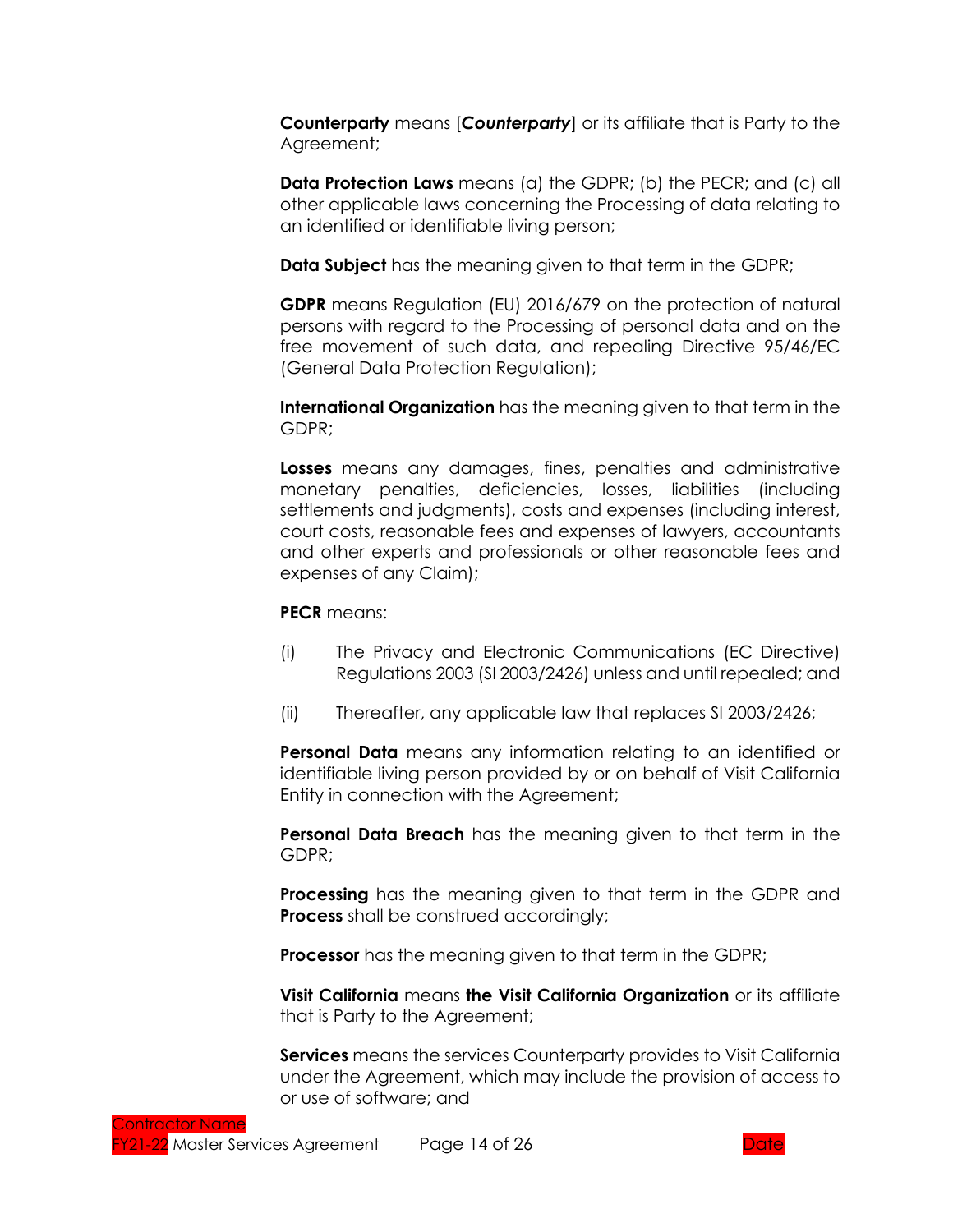**Counterparty** means [*Counterparty*] or its affiliate that is Party to the Agreement;

**Data Protection Laws** means (a) the GDPR; (b) the PECR; and (c) all other applicable laws concerning the Processing of data relating to an identified or identifiable living person;

**Data Subject** has the meaning given to that term in the GDPR;

**GDPR** means Regulation (EU) 2016/679 on the protection of natural persons with regard to the Processing of personal data and on the free movement of such data, and repealing Directive 95/46/EC (General Data Protection Regulation);

**International Organization** has the meaning given to that term in the GDPR;

**Losses** means any damages, fines, penalties and administrative monetary penalties, deficiencies, losses, liabilities (including settlements and judgments), costs and expenses (including interest, court costs, reasonable fees and expenses of lawyers, accountants and other experts and professionals or other reasonable fees and expenses of any Claim);

**PECR** means:

- (i) The Privacy and Electronic Communications (EC Directive) Regulations 2003 (SI 2003/2426) unless and until repealed; and
- (ii) Thereafter, any applicable law that replaces SI 2003/2426;

**Personal Data** means any information relating to an identified or identifiable living person provided by or on behalf of Visit California Entity in connection with the Agreement;

**Personal Data Breach** has the meaning given to that term in the GDPR;

**Processing** has the meaning given to that term in the GDPR and **Process** shall be construed accordingly;

**Processor** has the meaning given to that term in the GDPR;

**Visit California** means **the Visit California Organization** or its affiliate that is Party to the Agreement;

**Services** means the services Counterparty provides to Visit California under the Agreement, which may include the provision of access to or use of software; and

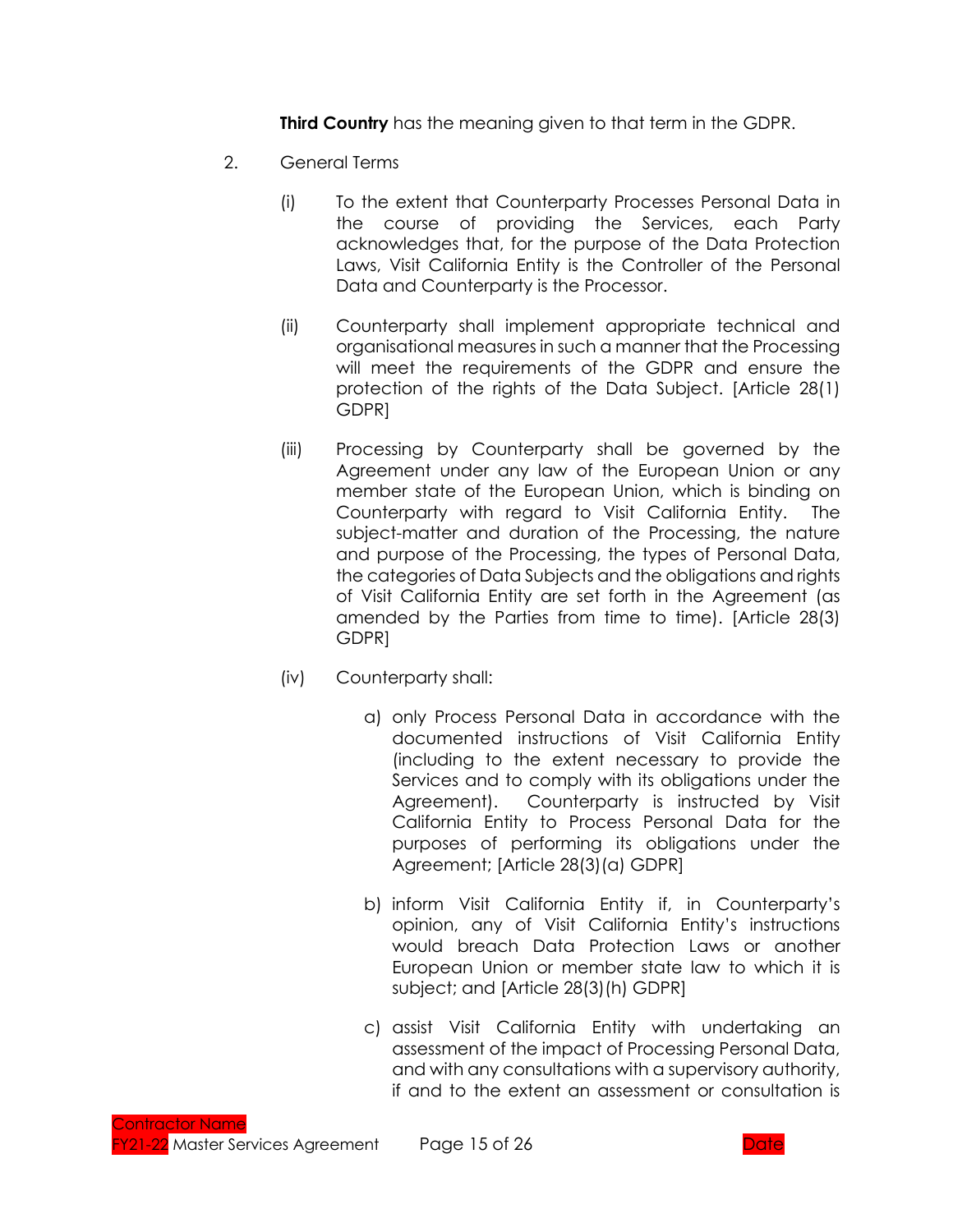**Third Country** has the meaning given to that term in the GDPR.

- 2. General Terms
	- (i) To the extent that Counterparty Processes Personal Data in the course of providing the Services, each Party acknowledges that, for the purpose of the Data Protection Laws, Visit California Entity is the Controller of the Personal Data and Counterparty is the Processor.
	- (ii) Counterparty shall implement appropriate technical and organisational measures in such a manner that the Processing will meet the requirements of the GDPR and ensure the protection of the rights of the Data Subject. [Article 28(1) GDPR]
	- (iii) Processing by Counterparty shall be governed by the Agreement under any law of the European Union or any member state of the European Union, which is binding on Counterparty with regard to Visit California Entity. The subject-matter and duration of the Processing, the nature and purpose of the Processing, the types of Personal Data, the categories of Data Subjects and the obligations and rights of Visit California Entity are set forth in the Agreement (as amended by the Parties from time to time). [Article 28(3) GDPR]
	- (iv) Counterparty shall:
		- a) only Process Personal Data in accordance with the documented instructions of Visit California Entity (including to the extent necessary to provide the Services and to comply with its obligations under the Agreement). Counterparty is instructed by Visit California Entity to Process Personal Data for the purposes of performing its obligations under the Agreement; [Article 28(3)(a) GDPR]
		- b) inform Visit California Entity if, in Counterparty's opinion, any of Visit California Entity's instructions would breach Data Protection Laws or another European Union or member state law to which it is subject; and [Article 28(3)(h) GDPR]
		- c) assist Visit California Entity with undertaking an assessment of the impact of Processing Personal Data, and with any consultations with a supervisory authority, if and to the extent an assessment or consultation is

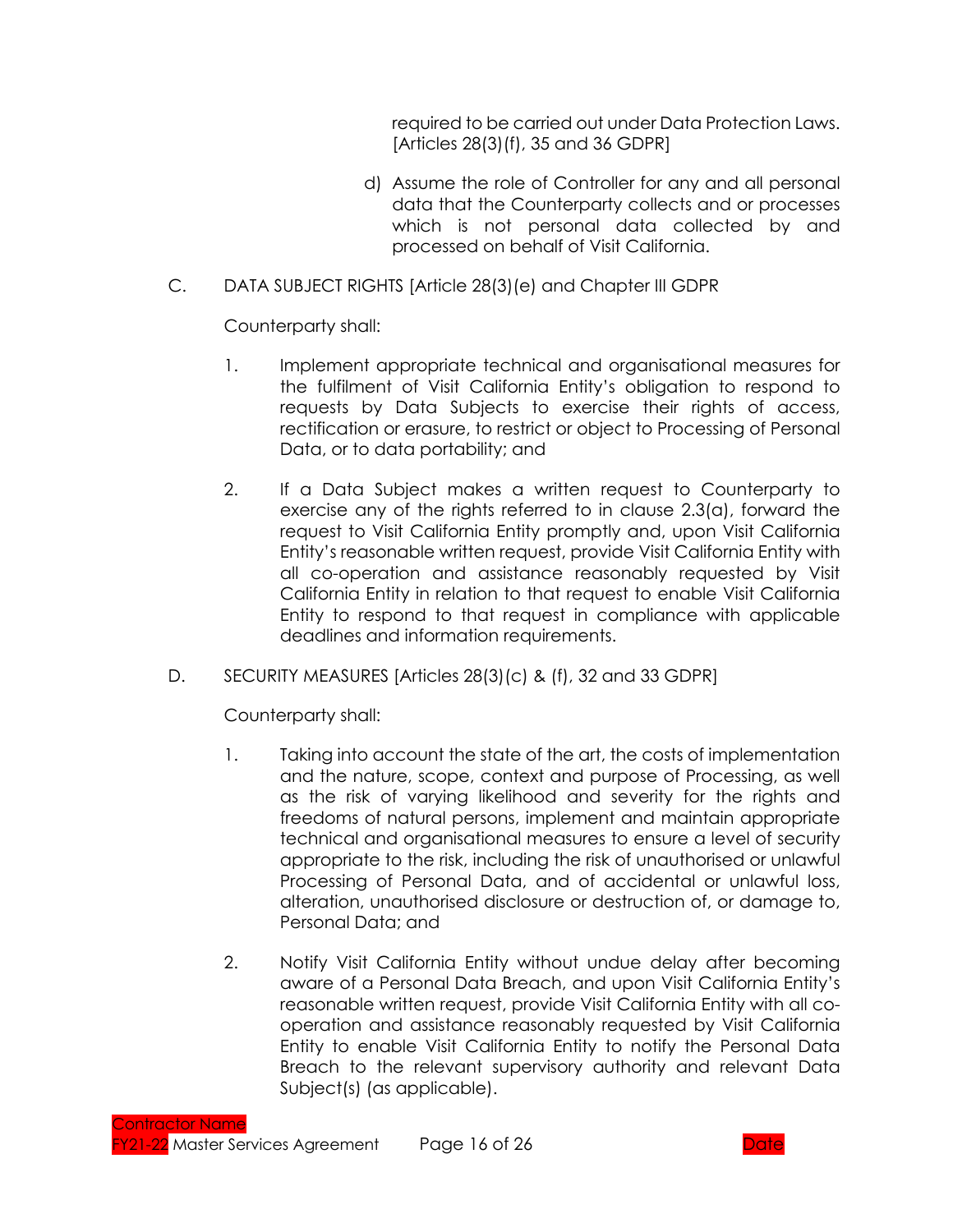required to be carried out under Data Protection Laws. [Articles 28(3)(f), 35 and 36 GDPR]

- d) Assume the role of Controller for any and all personal data that the Counterparty collects and or processes which is not personal data collected by and processed on behalf of Visit California.
- C. DATA SUBJECT RIGHTS [Article 28(3)(e) and Chapter III GDPR

Counterparty shall:

- 1. Implement appropriate technical and organisational measures for the fulfilment of Visit California Entity's obligation to respond to requests by Data Subjects to exercise their rights of access, rectification or erasure, to restrict or object to Processing of Personal Data, or to data portability; and
- 2. If a Data Subject makes a written request to Counterparty to exercise any of the rights referred to in clause 2.3(a), forward the request to Visit California Entity promptly and, upon Visit California Entity's reasonable written request, provide Visit California Entity with all co-operation and assistance reasonably requested by Visit California Entity in relation to that request to enable Visit California Entity to respond to that request in compliance with applicable deadlines and information requirements.
- D. SECURITY MEASURES [Articles 28(3)(c) & (f), 32 and 33 GDPR]

Counterparty shall:

- 1. Taking into account the state of the art, the costs of implementation and the nature, scope, context and purpose of Processing, as well as the risk of varying likelihood and severity for the rights and freedoms of natural persons, implement and maintain appropriate technical and organisational measures to ensure a level of security appropriate to the risk, including the risk of unauthorised or unlawful Processing of Personal Data, and of accidental or unlawful loss, alteration, unauthorised disclosure or destruction of, or damage to, Personal Data; and
- 2. Notify Visit California Entity without undue delay after becoming aware of a Personal Data Breach, and upon Visit California Entity's reasonable written request, provide Visit California Entity with all cooperation and assistance reasonably requested by Visit California Entity to enable Visit California Entity to notify the Personal Data Breach to the relevant supervisory authority and relevant Data Subject(s) (as applicable).

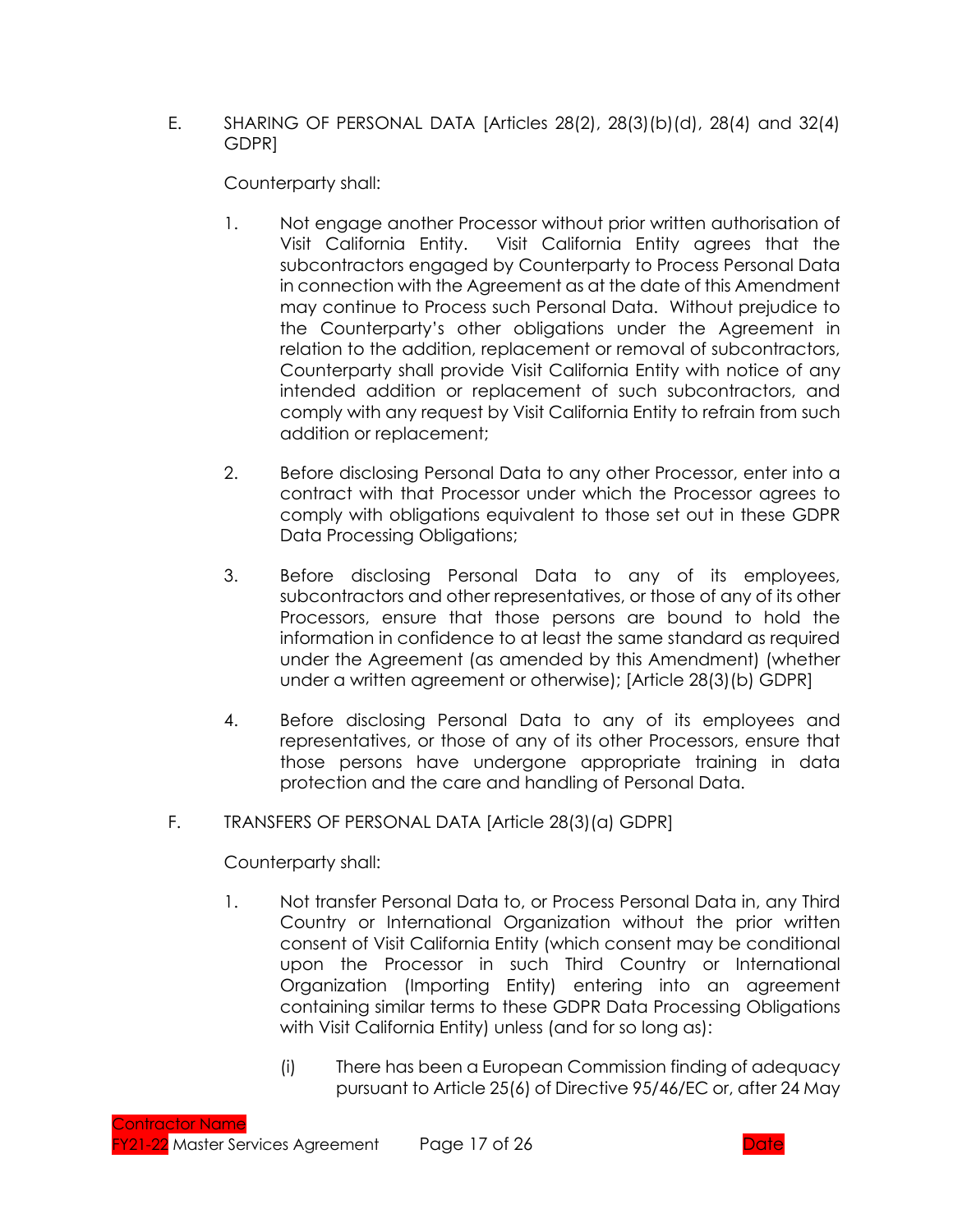### E. SHARING OF PERSONAL DATA [Articles 28(2), 28(3)(b)(d), 28(4) and 32(4) GDPR]

Counterparty shall:

- 1. Not engage another Processor without prior written authorisation of Visit California Entity. Visit California Entity agrees that the subcontractors engaged by Counterparty to Process Personal Data in connection with the Agreement as at the date of this Amendment may continue to Process such Personal Data. Without prejudice to the Counterparty's other obligations under the Agreement in relation to the addition, replacement or removal of subcontractors, Counterparty shall provide Visit California Entity with notice of any intended addition or replacement of such subcontractors, and comply with any request by Visit California Entity to refrain from such addition or replacement;
- 2. Before disclosing Personal Data to any other Processor, enter into a contract with that Processor under which the Processor agrees to comply with obligations equivalent to those set out in these GDPR Data Processing Obligations;
- 3. Before disclosing Personal Data to any of its employees, subcontractors and other representatives, or those of any of its other Processors, ensure that those persons are bound to hold the information in confidence to at least the same standard as required under the Agreement (as amended by this Amendment) (whether under a written agreement or otherwise); [Article 28(3)(b) GDPR]
- 4. Before disclosing Personal Data to any of its employees and representatives, or those of any of its other Processors, ensure that those persons have undergone appropriate training in data protection and the care and handling of Personal Data.
- F. TRANSFERS OF PERSONAL DATA [Article 28(3)(a) GDPR]

Counterparty shall:

- 1. Not transfer Personal Data to, or Process Personal Data in, any Third Country or International Organization without the prior written consent of Visit California Entity (which consent may be conditional upon the Processor in such Third Country or International Organization (Importing Entity) entering into an agreement containing similar terms to these GDPR Data Processing Obligations with Visit California Entity) unless (and for so long as):
	- (i) There has been a European Commission finding of adequacy pursuant to Article 25(6) of Directive 95/46/EC or, after 24 May

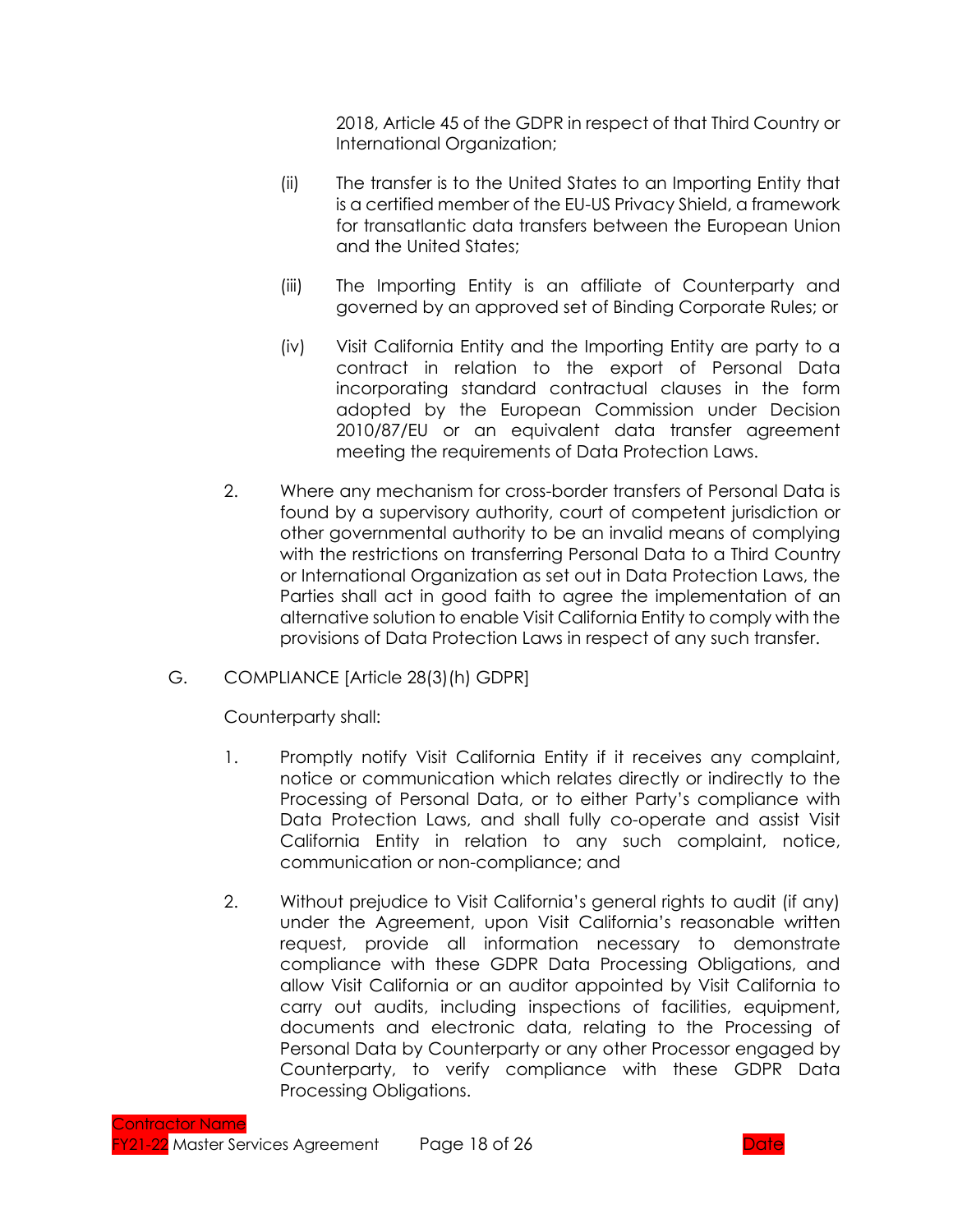2018, Article 45 of the GDPR in respect of that Third Country or International Organization;

- (ii) The transfer is to the United States to an Importing Entity that is a certified member of the EU-US Privacy Shield, a framework for transatlantic data transfers between the European Union and the United States;
- (iii) The Importing Entity is an affiliate of Counterparty and governed by an approved set of Binding Corporate Rules; or
- (iv) Visit California Entity and the Importing Entity are party to a contract in relation to the export of Personal Data incorporating standard contractual clauses in the form adopted by the European Commission under Decision 2010/87/EU or an equivalent data transfer agreement meeting the requirements of Data Protection Laws.
- 2. Where any mechanism for cross-border transfers of Personal Data is found by a supervisory authority, court of competent jurisdiction or other governmental authority to be an invalid means of complying with the restrictions on transferring Personal Data to a Third Country or International Organization as set out in Data Protection Laws, the Parties shall act in good faith to agree the implementation of an alternative solution to enable Visit California Entity to comply with the provisions of Data Protection Laws in respect of any such transfer.
- G. COMPLIANCE [Article 28(3)(h) GDPR]

Counterparty shall:

- 1. Promptly notify Visit California Entity if it receives any complaint, notice or communication which relates directly or indirectly to the Processing of Personal Data, or to either Party's compliance with Data Protection Laws, and shall fully co-operate and assist Visit California Entity in relation to any such complaint, notice, communication or non-compliance; and
- 2. Without prejudice to Visit California's general rights to audit (if any) under the Agreement, upon Visit California's reasonable written request, provide all information necessary to demonstrate compliance with these GDPR Data Processing Obligations, and allow Visit California or an auditor appointed by Visit California to carry out audits, including inspections of facilities, equipment, documents and electronic data, relating to the Processing of Personal Data by Counterparty or any other Processor engaged by Counterparty, to verify compliance with these GDPR Data Processing Obligations.

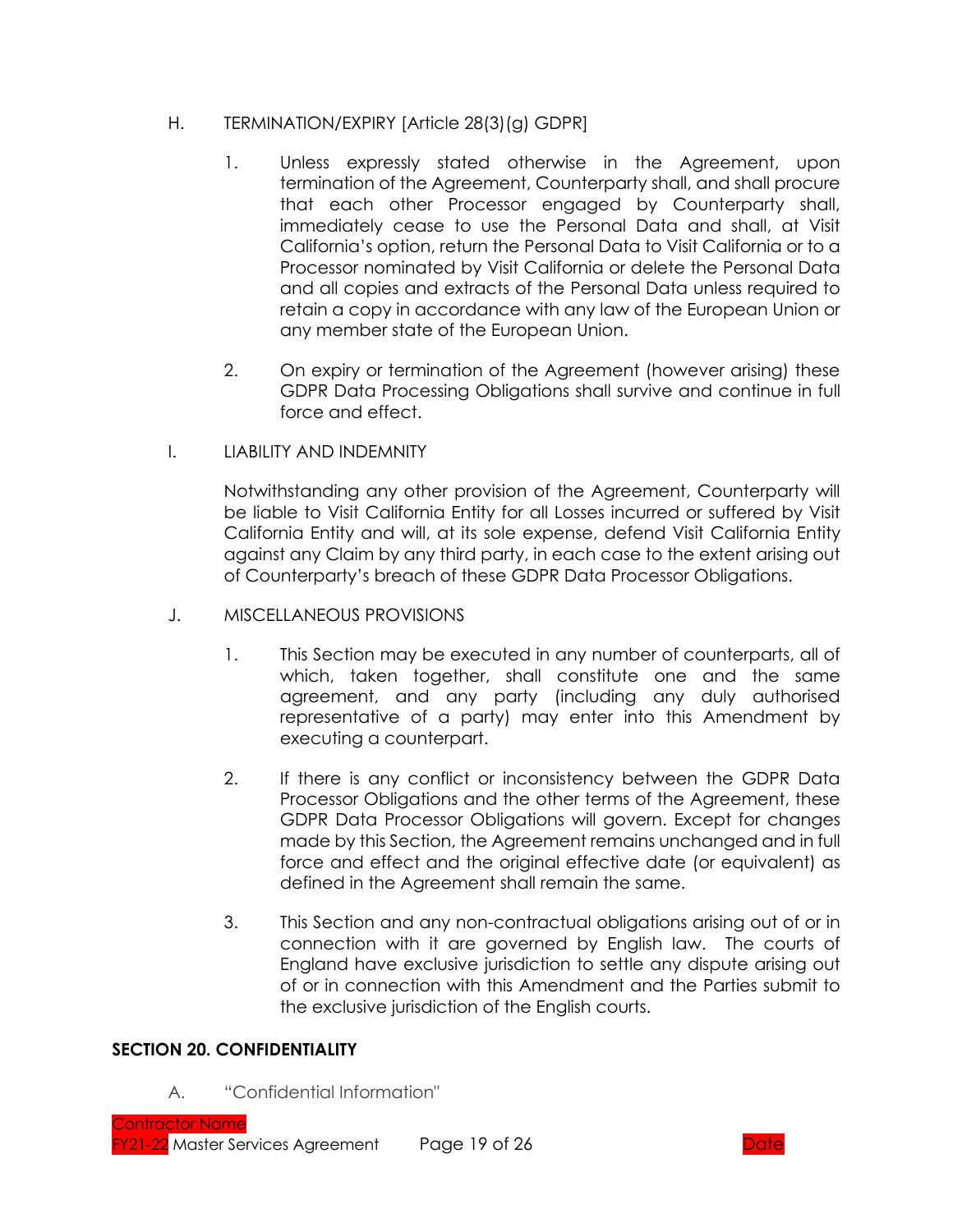### H. TERMINATION/EXPIRY [Article 28(3)(g) GDPR]

- 1. Unless expressly stated otherwise in the Agreement, upon termination of the Agreement, Counterparty shall, and shall procure that each other Processor engaged by Counterparty shall, immediately cease to use the Personal Data and shall, at Visit California's option, return the Personal Data to Visit California or to a Processor nominated by Visit California or delete the Personal Data and all copies and extracts of the Personal Data unless required to retain a copy in accordance with any law of the European Union or any member state of the European Union.
- 2. On expiry or termination of the Agreement (however arising) these GDPR Data Processing Obligations shall survive and continue in full force and effect.
- I. LIABILITY AND INDEMNITY

Notwithstanding any other provision of the Agreement, Counterparty will be liable to Visit California Entity for all Losses incurred or suffered by Visit California Entity and will, at its sole expense, defend Visit California Entity against any Claim by any third party, in each case to the extent arising out of Counterparty's breach of these GDPR Data Processor Obligations.

- J. MISCELLANEOUS PROVISIONS
	- 1. This Section may be executed in any number of counterparts, all of which, taken together, shall constitute one and the same agreement, and any party (including any duly authorised representative of a party) may enter into this Amendment by executing a counterpart.
	- 2. If there is any conflict or inconsistency between the GDPR Data Processor Obligations and the other terms of the Agreement, these GDPR Data Processor Obligations will govern. Except for changes made by this Section, the Agreement remains unchanged and in full force and effect and the original effective date (or equivalent) as defined in the Agreement shall remain the same.
	- 3. This Section and any non-contractual obligations arising out of or in connection with it are governed by English law. The courts of England have exclusive jurisdiction to settle any dispute arising out of or in connection with this Amendment and the Parties submit to the exclusive jurisdiction of the English courts.

### **SECTION 20. CONFIDENTIALITY**

A. "Confidential Information"

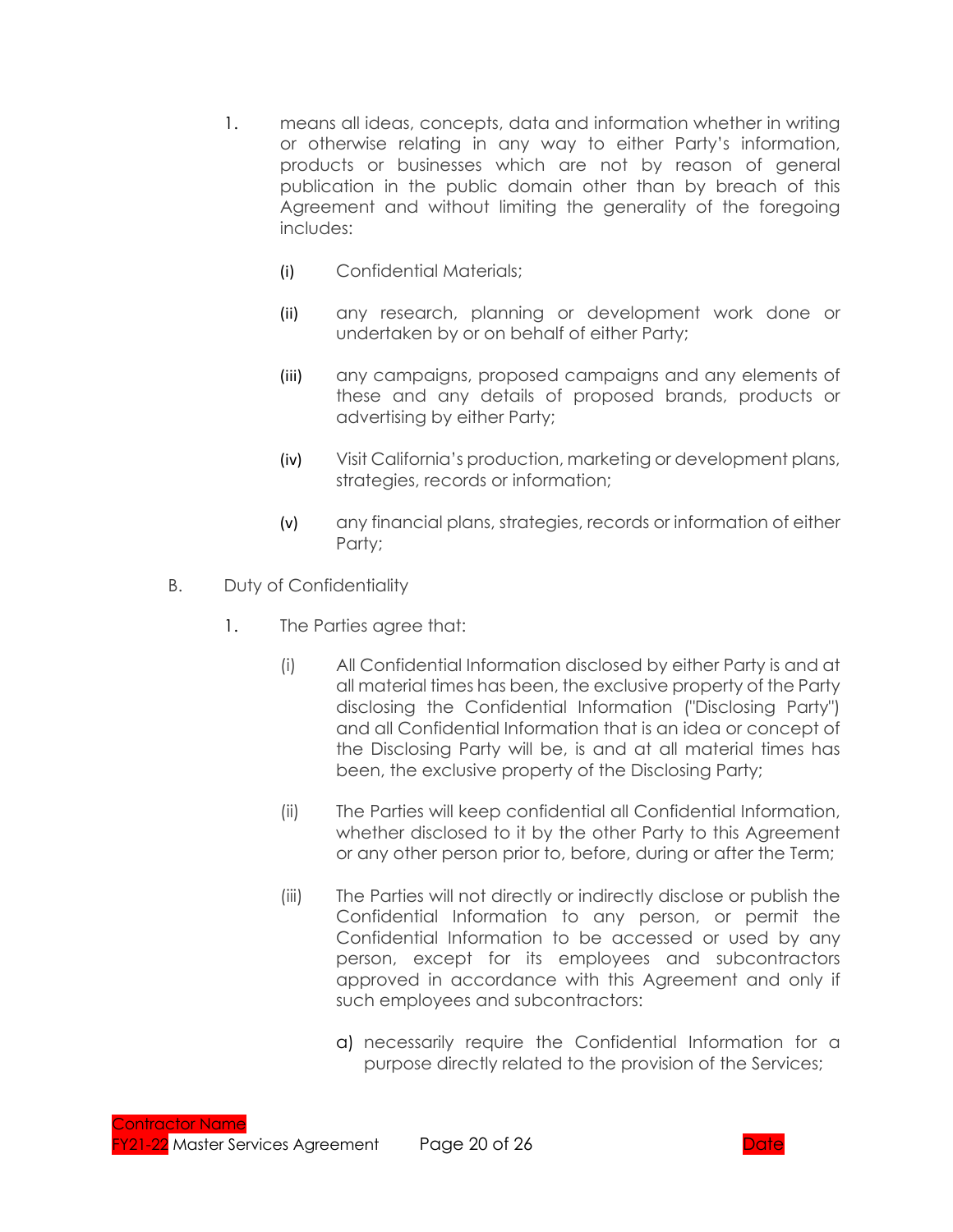- 1. means all ideas, concepts, data and information whether in writing or otherwise relating in any way to either Party's information, products or businesses which are not by reason of general publication in the public domain other than by breach of this Agreement and without limiting the generality of the foregoing includes:
	- (i) Confidential Materials;
	- (ii) any research, planning or development work done or undertaken by or on behalf of either Party;
	- (iii) any campaigns, proposed campaigns and any elements of these and any details of proposed brands, products or advertising by either Party;
	- (iv) Visit California's production, marketing or development plans, strategies, records or information;
	- (v) any financial plans, strategies, records or information of either Party;
- B. Duty of Confidentiality
	- 1. The Parties agree that:
		- (i) All Confidential Information disclosed by either Party is and at all material times has been, the exclusive property of the Party disclosing the Confidential Information ("Disclosing Party") and all Confidential Information that is an idea or concept of the Disclosing Party will be, is and at all material times has been, the exclusive property of the Disclosing Party;
		- (ii) The Parties will keep confidential all Confidential Information, whether disclosed to it by the other Party to this Agreement or any other person prior to, before, during or after the Term;
		- (iii) The Parties will not directly or indirectly disclose or publish the Confidential Information to any person, or permit the Confidential Information to be accessed or used by any person, except for its employees and subcontractors approved in accordance with this Agreement and only if such employees and subcontractors:
			- a) necessarily require the Confidential Information for a purpose directly related to the provision of the Services;

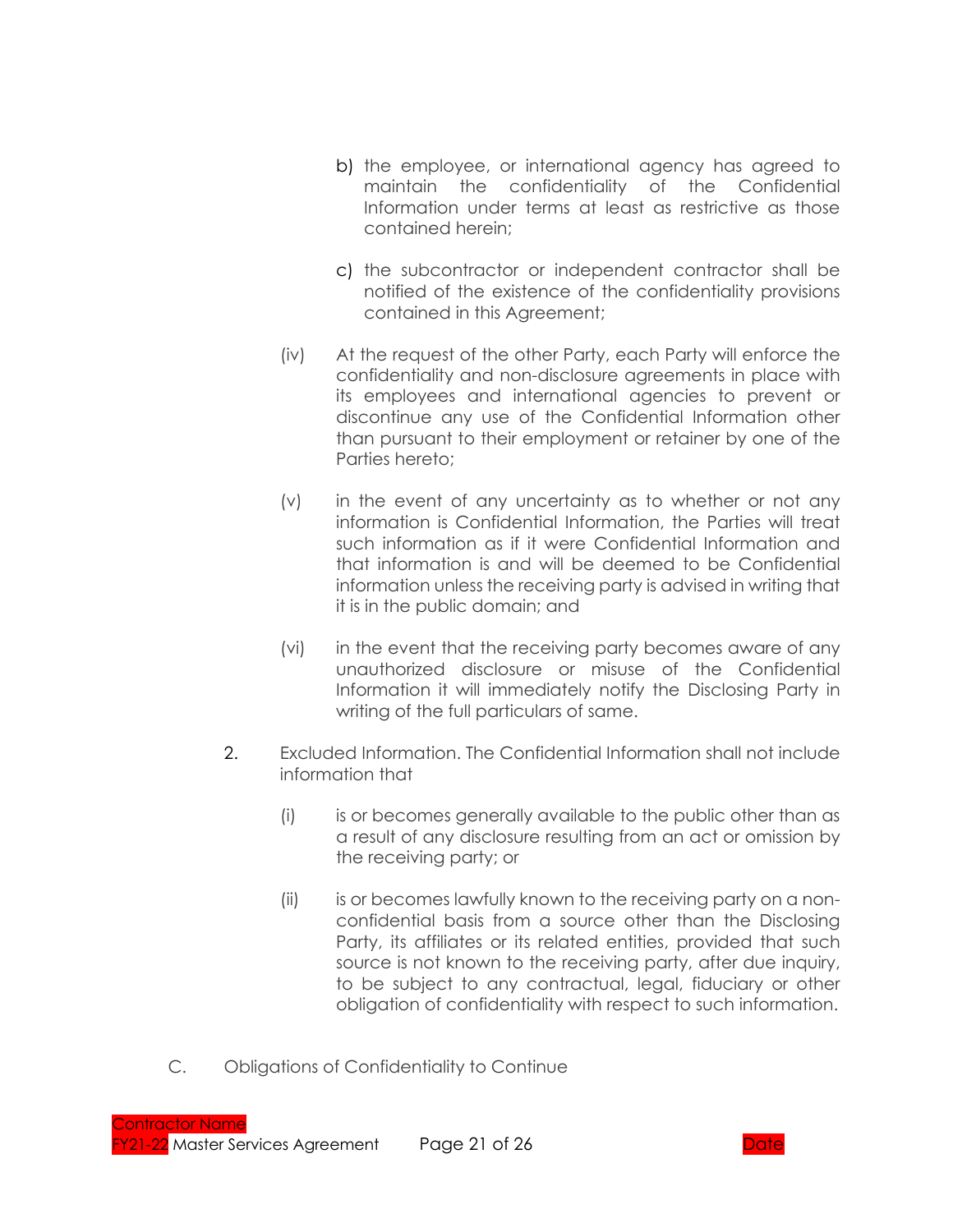- b) the employee, or international agency has agreed to maintain the confidentiality of the Confidential Information under terms at least as restrictive as those contained herein;
- c) the subcontractor or independent contractor shall be notified of the existence of the confidentiality provisions contained in this Agreement;
- (iv) At the request of the other Party, each Party will enforce the confidentiality and non-disclosure agreements in place with its employees and international agencies to prevent or discontinue any use of the Confidential Information other than pursuant to their employment or retainer by one of the Parties hereto;
- (v) in the event of any uncertainty as to whether or not any information is Confidential Information, the Parties will treat such information as if it were Confidential Information and that information is and will be deemed to be Confidential information unless the receiving party is advised in writing that it is in the public domain; and
- (vi) in the event that the receiving party becomes aware of any unauthorized disclosure or misuse of the Confidential Information it will immediately notify the Disclosing Party in writing of the full particulars of same.
- 2. Excluded Information. The Confidential Information shall not include information that
	- (i) is or becomes generally available to the public other than as a result of any disclosure resulting from an act or omission by the receiving party; or
	- (ii) is or becomes lawfully known to the receiving party on a nonconfidential basis from a source other than the Disclosing Party, its affiliates or its related entities, provided that such source is not known to the receiving party, after due inquiry, to be subject to any contractual, legal, fiduciary or other obligation of confidentiality with respect to such information.
- C. Obligations of Confidentiality to Continue

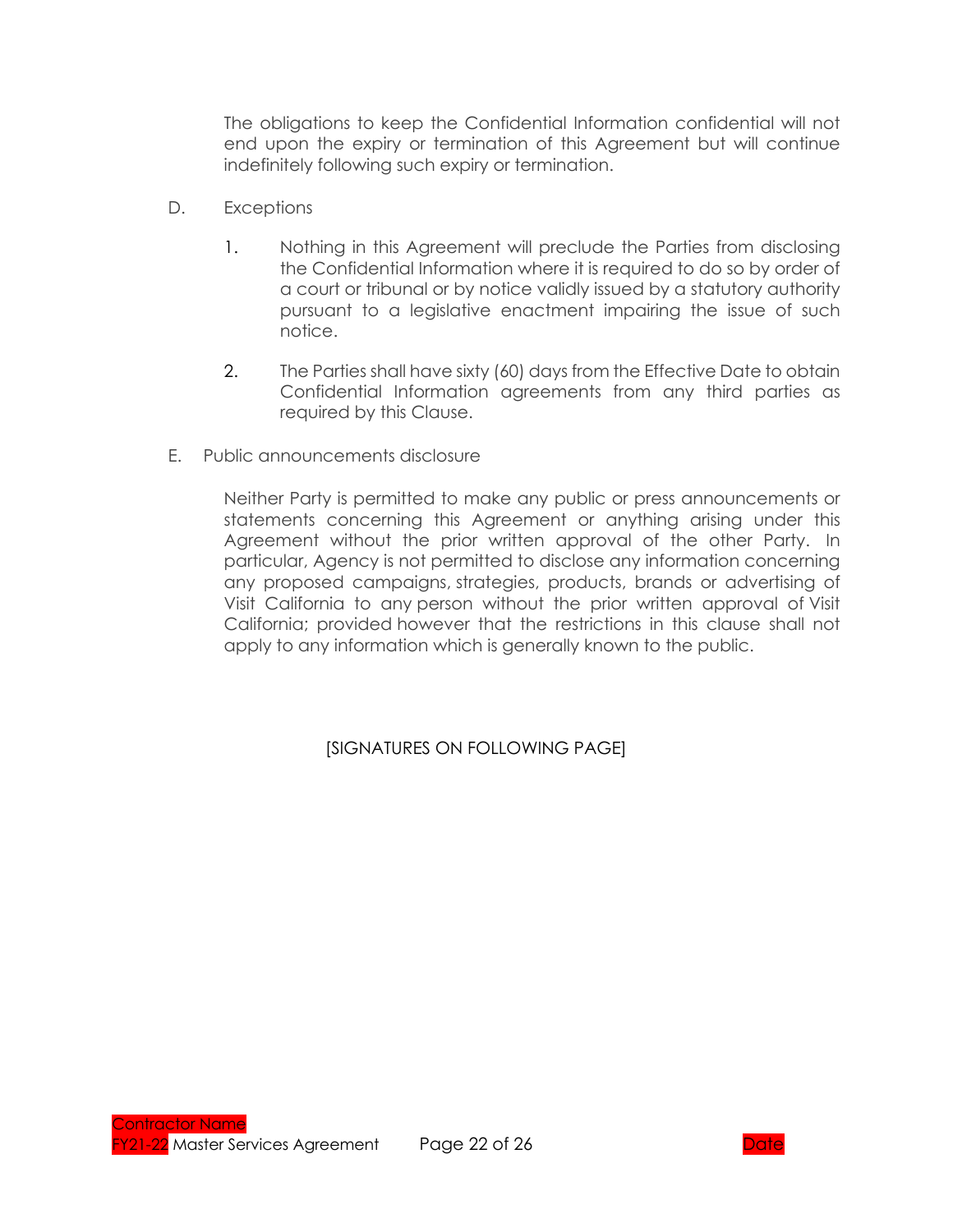The obligations to keep the Confidential Information confidential will not end upon the expiry or termination of this Agreement but will continue indefinitely following such expiry or termination.

- D. Exceptions
	- 1. Nothing in this Agreement will preclude the Parties from disclosing the Confidential Information where it is required to do so by order of a court or tribunal or by notice validly issued by a statutory authority pursuant to a legislative enactment impairing the issue of such notice.
	- 2. The Parties shall have sixty (60) days from the Effective Date to obtain Confidential Information agreements from any third parties as required by this Clause.
- E. Public announcements disclosure

Neither Party is permitted to make any public or press announcements or statements concerning this Agreement or anything arising under this Agreement without the prior written approval of the other Party. In particular, Agency is not permitted to disclose any information concerning any proposed campaigns, strategies, products, brands or advertising of Visit California to any person without the prior written approval of Visit California; provided however that the restrictions in this clause shall not apply to any information which is generally known to the public.

[SIGNATURES ON FOLLOWING PAGE]

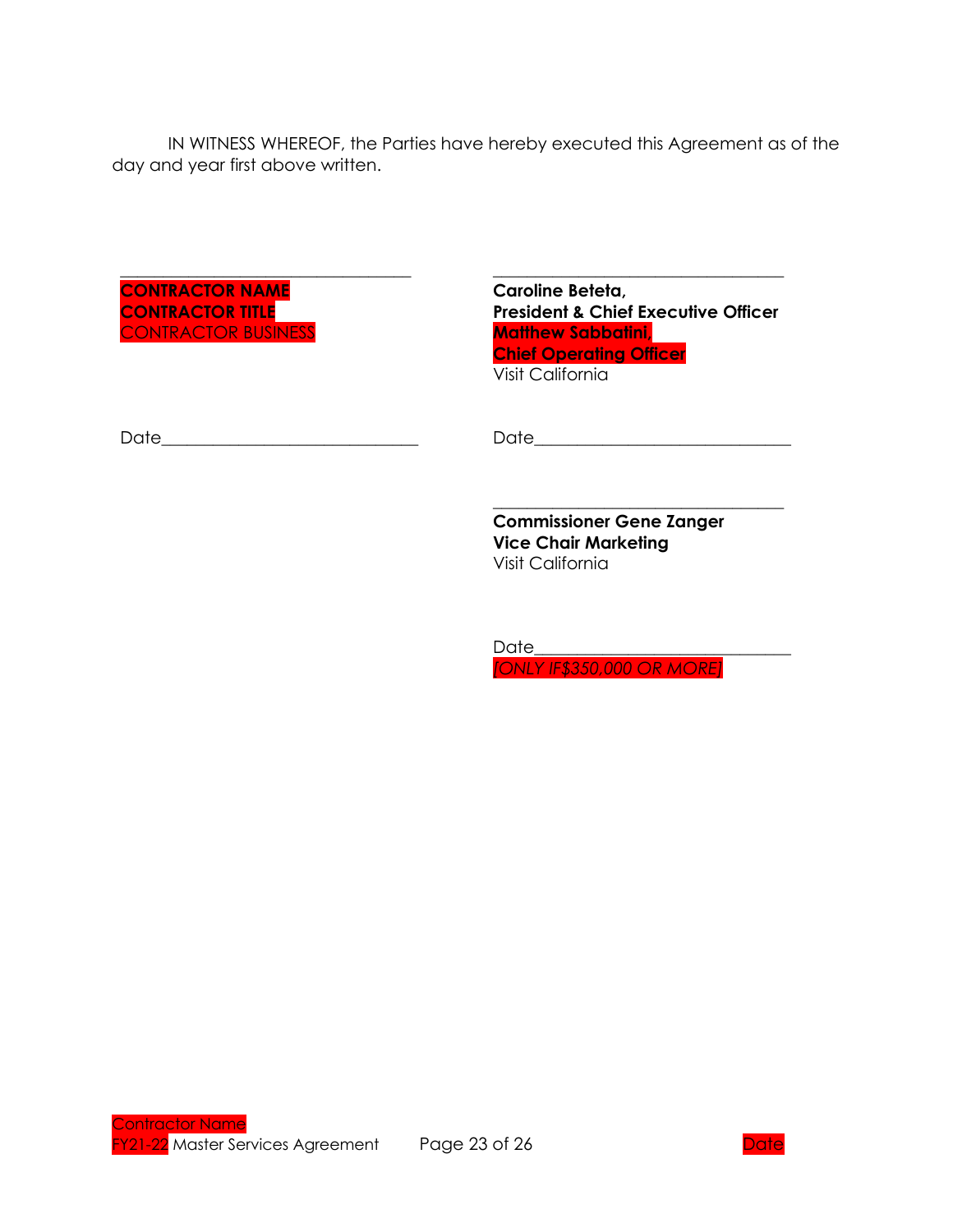IN WITNESS WHEREOF, the Parties have hereby executed this Agreement as of the day and year first above written.

**CONTRACTOR NAME CONTRACTOR TITLE** CONTRACTOR BUSINESS **Caroline Beteta, President & Chief Executive Officer Matthew Sabbatini, Chief Operating Officer** Visit California

\_\_\_\_\_\_\_\_\_\_\_\_\_\_\_\_\_\_\_\_\_\_\_\_\_\_\_\_\_\_\_\_\_\_

\_\_\_\_\_\_\_\_\_\_\_\_\_\_\_\_\_\_\_\_\_\_\_\_\_\_\_\_\_\_\_\_\_\_

Date\_\_\_\_\_\_\_\_\_\_\_\_\_\_\_\_\_\_\_\_\_\_\_\_\_\_\_\_\_\_ Date\_\_\_\_\_\_\_\_\_\_\_\_\_\_\_\_\_\_\_\_\_\_\_\_\_\_\_\_\_\_

\_\_\_\_\_\_\_\_\_\_\_\_\_\_\_\_\_\_\_\_\_\_\_\_\_\_\_\_\_\_\_\_\_\_

**Commissioner Gene Zanger Vice Chair Marketing** Visit California

 $Date$ *[ONLY IF\$350,000 OR MORE]*

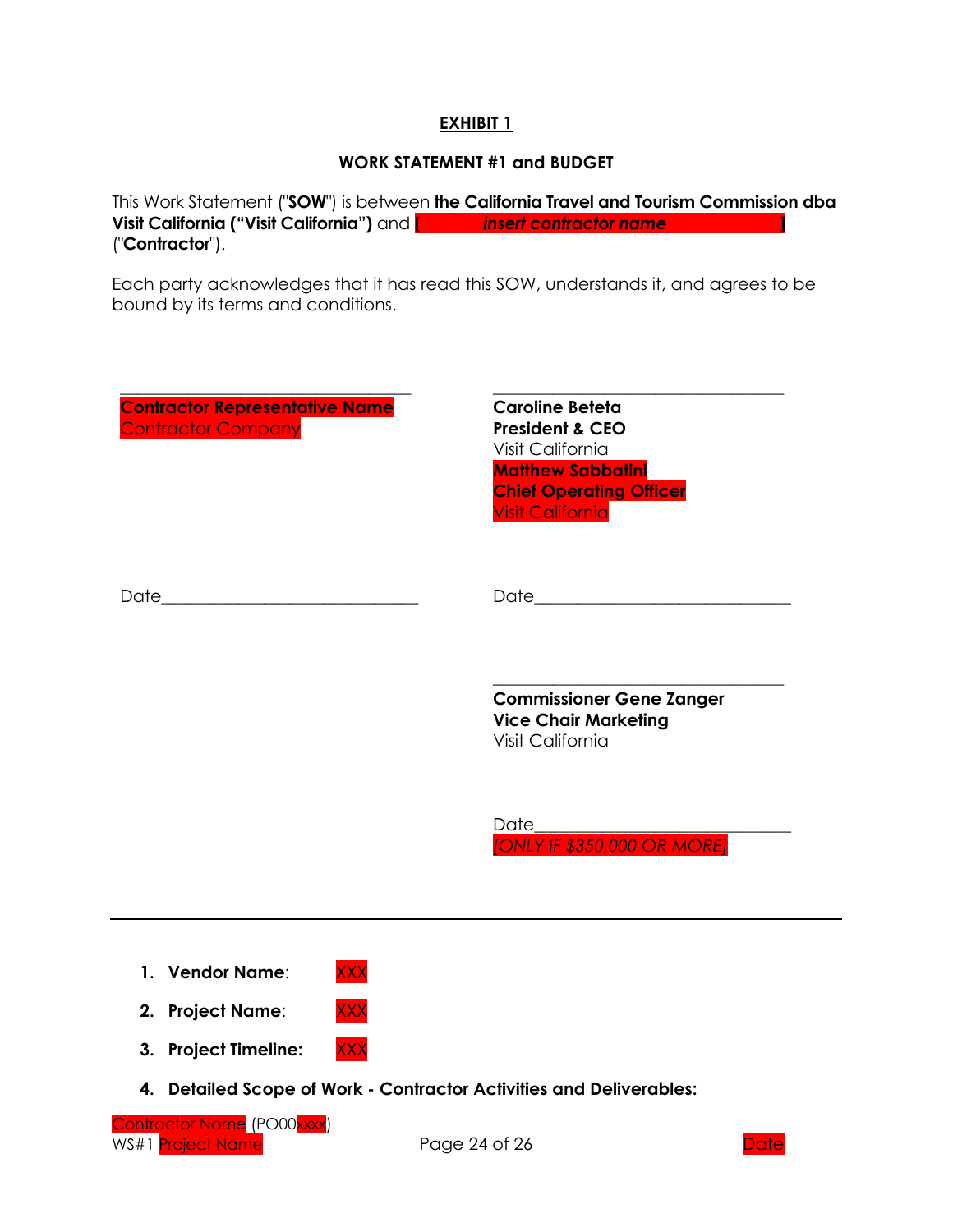### **EXHIBIT 1**

### **WORK STATEMENT #1 and BUDGET**

This Work Statement ("**SOW**") is between **the California Travel and Tourism Commission dba Visit California ("Visit California")** and **[** *insert contractor name* **]** ("**Contractor**").

Each party acknowledges that it has read this SOW, understands it, and agrees to be bound by its terms and conditions.

| <b>Contractor Representative Name</b><br><b>Contractor Company</b>  | <b>Caroline Beteta</b><br><b>President &amp; CEO</b><br>Visit California<br><b>Matthew Sabbatini</b><br><b>Chief Operating Officer</b><br><b>Visit California</b> |  |  |  |
|---------------------------------------------------------------------|-------------------------------------------------------------------------------------------------------------------------------------------------------------------|--|--|--|
|                                                                     |                                                                                                                                                                   |  |  |  |
|                                                                     | <b>Commissioner Gene Zanger</b><br><b>Vice Chair Marketing</b><br><b>Visit California</b>                                                                         |  |  |  |
|                                                                     | Date<br>[ONLY IF \$350,000 OR MORE]                                                                                                                               |  |  |  |
| <b>XXX</b><br>1. Vendor Name:                                       |                                                                                                                                                                   |  |  |  |
| <b>XXX</b><br>2. Project Name:                                      |                                                                                                                                                                   |  |  |  |
| <b>XXX</b><br><b>Project Timeline:</b><br>3.                        |                                                                                                                                                                   |  |  |  |
| 4. Detailed Scope of Work - Contractor Activities and Deliverables: |                                                                                                                                                                   |  |  |  |

<mark>e</mark> (PO00<mark>xxxx)</mark> WS#1 <mark>Project Name</mark> The Page 24 of 26 Date of 26 Date

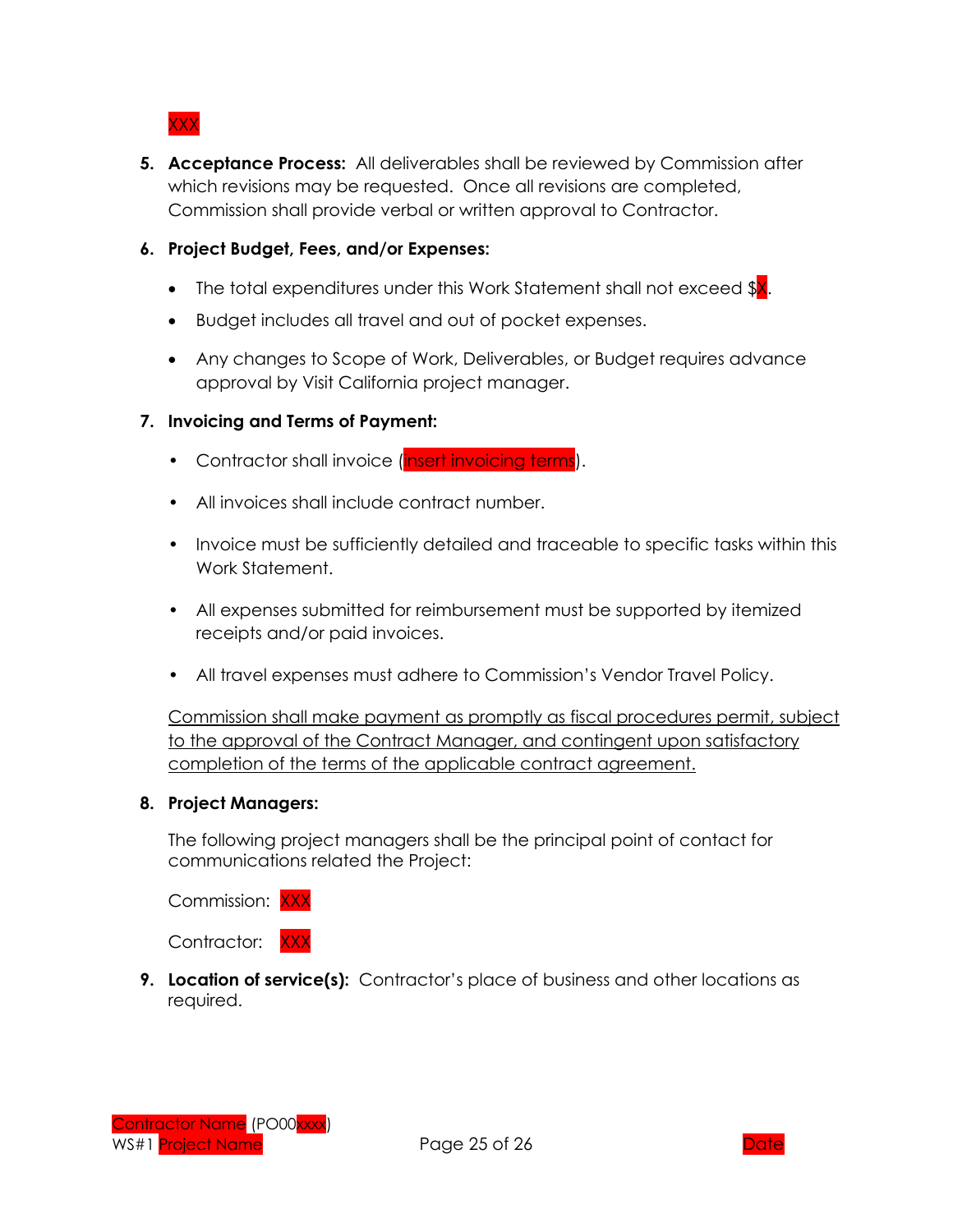XXX

- **5. Acceptance Process:** All deliverables shall be reviewed by Commission after which revisions may be requested. Once all revisions are completed, Commission shall provide verbal or written approval to Contractor.
- **6. Project Budget, Fees, and/or Expenses:**
	- The total expenditures under this Work Statement shall not exceed  $X$ .
	- Budget includes all travel and out of pocket expenses.
	- Any changes to Scope of Work, Deliverables, or Budget requires advance approval by Visit California project manager.

### **7. Invoicing and Terms of Payment:**

- Contractor shall invoice (insert invoicing terms).
- All invoices shall include contract number.
- Invoice must be sufficiently detailed and traceable to specific tasks within this Work Statement.
- All expenses submitted for reimbursement must be supported by itemized receipts and/or paid invoices.
- All travel expenses must adhere to Commission's Vendor Travel Policy.

Commission shall make payment as promptly as fiscal procedures permit, subject to the approval of the Contract Manager, and contingent upon satisfactory completion of the terms of the applicable contract agreement.

### **8. Project Managers:**

The following project managers shall be the principal point of contact for communications related the Project:

Commission: XXX



**9. Location of service(s):** Contractor's place of business and other locations as required.